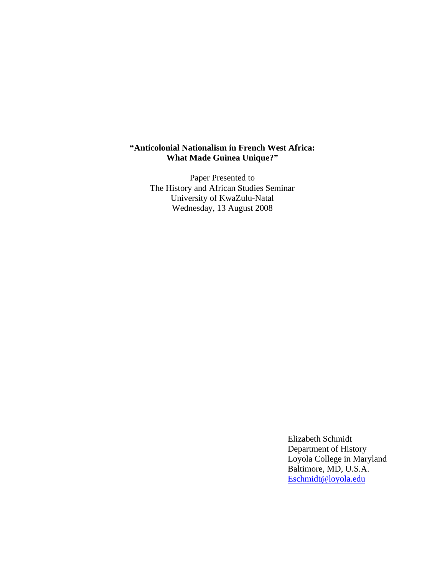# **"Anticolonial Nationalism in French West Africa: What Made Guinea Unique?"**

Paper Presented to The History and African Studies Seminar University of KwaZulu-Natal Wednesday, 13 August 2008

> Elizabeth Schmidt Department of History Loyola College in Maryland Baltimore, MD, U.S.A. Eschmidt@loyola.edu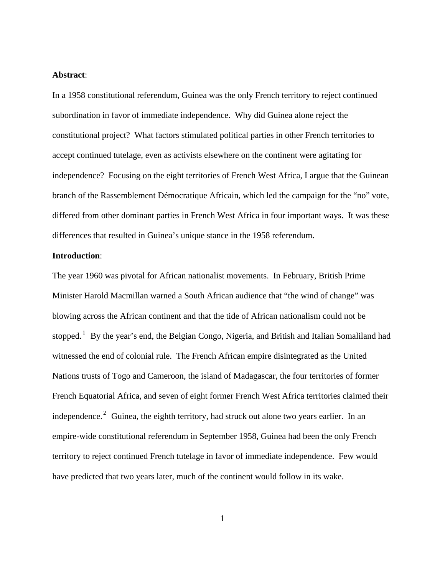### **Abstract**:

In a 1958 constitutional referendum, Guinea was the only French territory to reject continued subordination in favor of immediate independence. Why did Guinea alone reject the constitutional project? What factors stimulated political parties in other French territories to accept continued tutelage, even as activists elsewhere on the continent were agitating for independence? Focusing on the eight territories of French West Africa, I argue that the Guinean branch of the Rassemblement Démocratique Africain, which led the campaign for the "no" vote, differed from other dominant parties in French West Africa in four important ways. It was these differences that resulted in Guinea's unique stance in the 1958 referendum.

### **Introduction**:

The year 1960 was pivotal for African nationalist movements. In February, British Prime Minister Harold Macmillan warned a South African audience that "the wind of change" was blowing across the African continent and that the tide of African nationalism could not be stopped.<sup>1</sup> By the year's end, the Belgian Congo, Nigeria, and British and Italian Somaliland had witnessed the end of colonial rule. The French African empire disintegrated as the United Nations trusts of Togo and Cameroon, the island of Madagascar, the four territories of former French Equatorial Africa, and seven of eight former French West Africa territories claimed their independence.<sup>2</sup> Guinea, the eighth territory, had struck out alone two years earlier. In an empire-wide constitutional referendum in September 1958, Guinea had been the only French territory to reject continued French tutelage in favor of immediate independence. Few would have predicted that two years later, much of the continent would follow in its wake.

1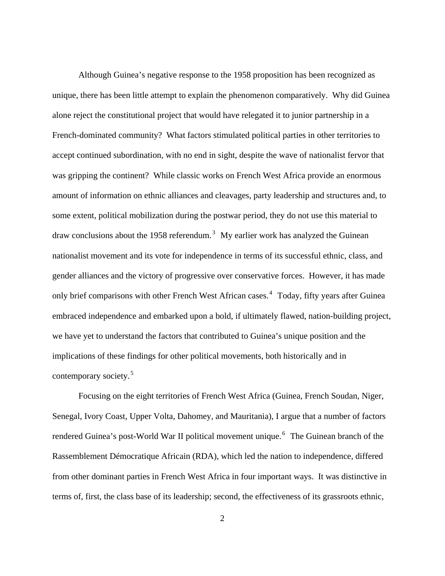Although Guinea's negative response to the 1958 proposition has been recognized as unique, there has been little attempt to explain the phenomenon comparatively. Why did Guinea alone reject the constitutional project that would have relegated it to junior partnership in a French-dominated community? What factors stimulated political parties in other territories to accept continued subordination, with no end in sight, despite the wave of nationalist fervor that was gripping the continent? While classic works on French West Africa provide an enormous amount of information on ethnic alliances and cleavages, party leadership and structures and, to some extent, political mobilization during the postwar period, they do not use this material to draw conclusions about the 1958 referendum.<sup>3</sup> My earlier work has analyzed the Guinean nationalist movement and its vote for independence in terms of its successful ethnic, class, and gender alliances and the victory of progressive over conservative forces. However, it has made only brief comparisons with other French West African cases.<sup>4</sup> Today, fifty years after Guinea embraced independence and embarked upon a bold, if ultimately flawed, nation-building project, we have yet to understand the factors that contributed to Guinea's unique position and the implications of these findings for other political movements, both historically and in contemporary society. <sup>5</sup>

 Focusing on the eight territories of French West Africa (Guinea, French Soudan, Niger, Senegal, Ivory Coast, Upper Volta, Dahomey, and Mauritania), I argue that a number of factors rendered Guinea's post-World War II political movement unique.<sup>6</sup> The Guinean branch of the Rassemblement Démocratique Africain (RDA), which led the nation to independence, differed from other dominant parties in French West Africa in four important ways. It was distinctive in terms of, first, the class base of its leadership; second, the effectiveness of its grassroots ethnic,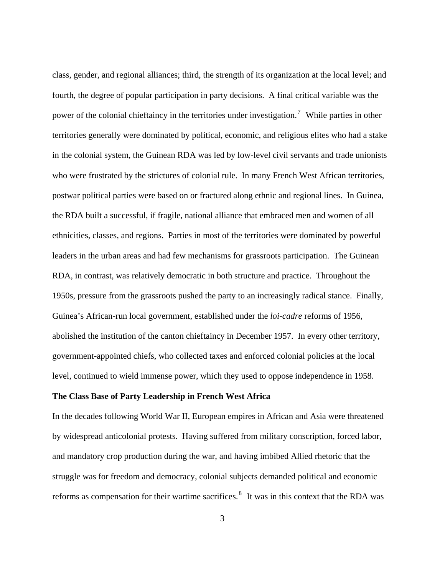class, gender, and regional alliances; third, the strength of its organization at the local level; and fourth, the degree of popular participation in party decisions. A final critical variable was the power of the colonial chieftaincy in the territories under investigation.<sup>7</sup> While parties in other territories generally were dominated by political, economic, and religious elites who had a stake in the colonial system, the Guinean RDA was led by low-level civil servants and trade unionists who were frustrated by the strictures of colonial rule. In many French West African territories, postwar political parties were based on or fractured along ethnic and regional lines. In Guinea, the RDA built a successful, if fragile, national alliance that embraced men and women of all ethnicities, classes, and regions. Parties in most of the territories were dominated by powerful leaders in the urban areas and had few mechanisms for grassroots participation. The Guinean RDA, in contrast, was relatively democratic in both structure and practice. Throughout the 1950s, pressure from the grassroots pushed the party to an increasingly radical stance. Finally, Guinea's African-run local government, established under the *loi-cadre* reforms of 1956, abolished the institution of the canton chieftaincy in December 1957. In every other territory, government-appointed chiefs, who collected taxes and enforced colonial policies at the local level, continued to wield immense power, which they used to oppose independence in 1958.

### **The Class Base of Party Leadership in French West Africa**

In the decades following World War II, European empires in African and Asia were threatened by widespread anticolonial protests. Having suffered from military conscription, forced labor, and mandatory crop production during the war, and having imbibed Allied rhetoric that the struggle was for freedom and democracy, colonial subjects demanded political and economic reforms as compensation for their wartime sacrifices. $8\,$  It was in this context that the RDA was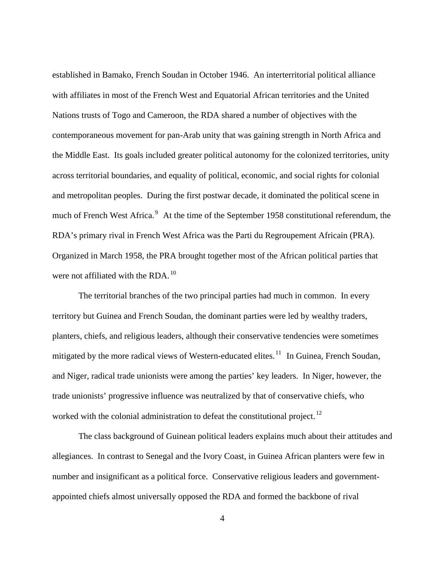established in Bamako, French Soudan in October 1946. An interterritorial political alliance with affiliates in most of the French West and Equatorial African territories and the United Nations trusts of Togo and Cameroon, the RDA shared a number of objectives with the contemporaneous movement for pan-Arab unity that was gaining strength in North Africa and the Middle East. Its goals included greater political autonomy for the colonized territories, unity across territorial boundaries, and equality of political, economic, and social rights for colonial and metropolitan peoples. During the first postwar decade, it dominated the political scene in much of French West Africa.<sup>9</sup> At the time of the September 1958 constitutional referendum, the RDA's primary rival in French West Africa was the Parti du Regroupement Africain (PRA). Organized in March 1958, the PRA brought together most of the African political parties that were not affiliated with the RDA.<sup>10</sup>

 The territorial branches of the two principal parties had much in common. In every territory but Guinea and French Soudan, the dominant parties were led by wealthy traders, planters, chiefs, and religious leaders, although their conservative tendencies were sometimes mitigated by the more radical views of Western-educated elites.<sup>11</sup> In Guinea, French Soudan, and Niger, radical trade unionists were among the parties' key leaders. In Niger, however, the trade unionists' progressive influence was neutralized by that of conservative chiefs, who worked with the colonial administration to defeat the constitutional project.<sup>12</sup>

 The class background of Guinean political leaders explains much about their attitudes and allegiances. In contrast to Senegal and the Ivory Coast, in Guinea African planters were few in number and insignificant as a political force. Conservative religious leaders and governmentappointed chiefs almost universally opposed the RDA and formed the backbone of rival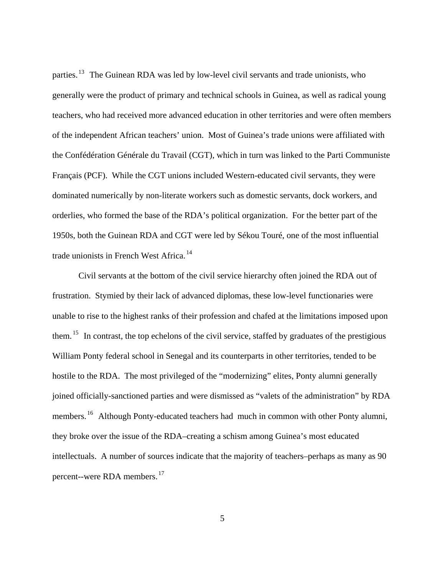parties.<sup>13</sup> The Guinean RDA was led by low-level civil servants and trade unionists, who generally were the product of primary and technical schools in Guinea, as well as radical young teachers, who had received more advanced education in other territories and were often members of the independent African teachers' union. Most of Guinea's trade unions were affiliated with the Confédération Générale du Travail (CGT), which in turn was linked to the Parti Communiste Français (PCF). While the CGT unions included Western-educated civil servants, they were dominated numerically by non-literate workers such as domestic servants, dock workers, and orderlies, who formed the base of the RDA's political organization. For the better part of the 1950s, both the Guinean RDA and CGT were led by Sékou Touré, one of the most influential trade unionists in French West Africa.<sup>14</sup>

 Civil servants at the bottom of the civil service hierarchy often joined the RDA out of frustration. Stymied by their lack of advanced diplomas, these low-level functionaries were unable to rise to the highest ranks of their profession and chafed at the limitations imposed upon them. 15 In contrast, the top echelons of the civil service, staffed by graduates of the prestigious William Ponty federal school in Senegal and its counterparts in other territories, tended to be hostile to the RDA. The most privileged of the "modernizing" elites, Ponty alumni generally joined officially-sanctioned parties and were dismissed as "valets of the administration" by RDA members.<sup>16</sup> Although Ponty-educated teachers had much in common with other Ponty alumni, they broke over the issue of the RDA–creating a schism among Guinea's most educated intellectuals. A number of sources indicate that the majority of teachers–perhaps as many as 90 percent--were RDA members. 17

5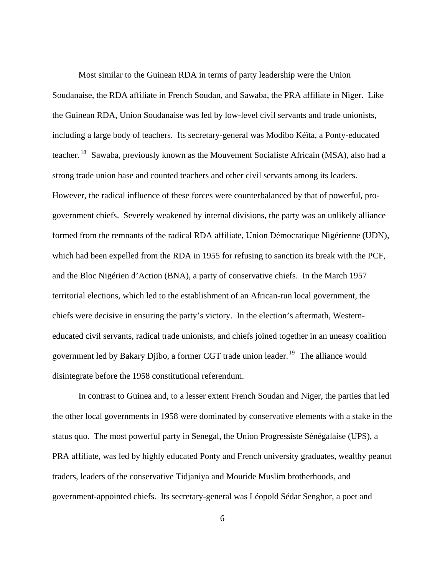Most similar to the Guinean RDA in terms of party leadership were the Union Soudanaise, the RDA affiliate in French Soudan, and Sawaba, the PRA affiliate in Niger. Like the Guinean RDA, Union Soudanaise was led by low-level civil servants and trade unionists, including a large body of teachers. Its secretary-general was Modibo Kéïta, a Ponty-educated teacher. <sup>18</sup> Sawaba, previously known as the Mouvement Socialiste Africain (MSA), also had a strong trade union base and counted teachers and other civil servants among its leaders. However, the radical influence of these forces were counterbalanced by that of powerful, progovernment chiefs. Severely weakened by internal divisions, the party was an unlikely alliance formed from the remnants of the radical RDA affiliate, Union Démocratique Nigérienne (UDN), which had been expelled from the RDA in 1955 for refusing to sanction its break with the PCF, and the Bloc Nigérien d'Action (BNA), a party of conservative chiefs. In the March 1957 territorial elections, which led to the establishment of an African-run local government, the chiefs were decisive in ensuring the party's victory. In the election's aftermath, Westerneducated civil servants, radical trade unionists, and chiefs joined together in an uneasy coalition government led by Bakary Djibo, a former CGT trade union leader.<sup>19</sup> The alliance would disintegrate before the 1958 constitutional referendum.

 In contrast to Guinea and, to a lesser extent French Soudan and Niger, the parties that led the other local governments in 1958 were dominated by conservative elements with a stake in the status quo. The most powerful party in Senegal, the Union Progressiste Sénégalaise (UPS), a PRA affiliate, was led by highly educated Ponty and French university graduates, wealthy peanut traders, leaders of the conservative Tidjaniya and Mouride Muslim brotherhoods, and government-appointed chiefs. Its secretary-general was Léopold Sédar Senghor, a poet and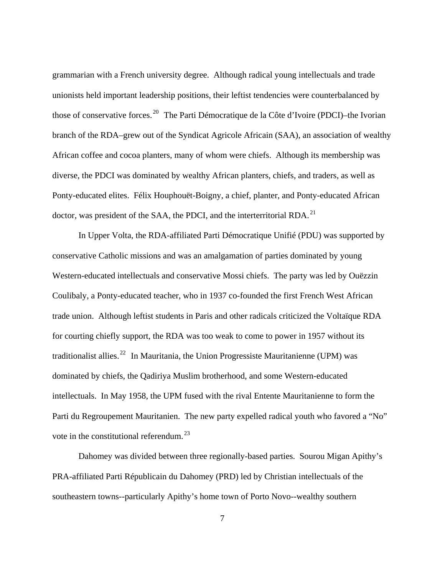grammarian with a French university degree. Although radical young intellectuals and trade unionists held important leadership positions, their leftist tendencies were counterbalanced by those of conservative forces. 20 The Parti Démocratique de la Côte d'Ivoire (PDCI)–the Ivorian branch of the RDA–grew out of the Syndicat Agricole Africain (SAA), an association of wealthy African coffee and cocoa planters, many of whom were chiefs. Although its membership was diverse, the PDCI was dominated by wealthy African planters, chiefs, and traders, as well as Ponty-educated elites. Félix Houphouët-Boigny, a chief, planter, and Ponty-educated African doctor, was president of the SAA, the PDCI, and the interterritorial RDA.<sup>21</sup>

 In Upper Volta, the RDA-affiliated Parti Démocratique Unifié (PDU) was supported by conservative Catholic missions and was an amalgamation of parties dominated by young Western-educated intellectuals and conservative Mossi chiefs. The party was led by Ouëzzin Coulibaly, a Ponty-educated teacher, who in 1937 co-founded the first French West African trade union. Although leftist students in Paris and other radicals criticized the Voltaïque RDA for courting chiefly support, the RDA was too weak to come to power in 1957 without its traditionalist allies.<sup>22</sup> In Mauritania, the Union Progressiste Mauritanienne (UPM) was dominated by chiefs, the Qadiriya Muslim brotherhood, and some Western-educated intellectuals. In May 1958, the UPM fused with the rival Entente Mauritanienne to form the Parti du Regroupement Mauritanien. The new party expelled radical youth who favored a "No" vote in the constitutional referendum. <sup>23</sup>

 Dahomey was divided between three regionally-based parties. Sourou Migan Apithy's PRA-affiliated Parti Républicain du Dahomey (PRD) led by Christian intellectuals of the southeastern towns--particularly Apithy's home town of Porto Novo--wealthy southern

7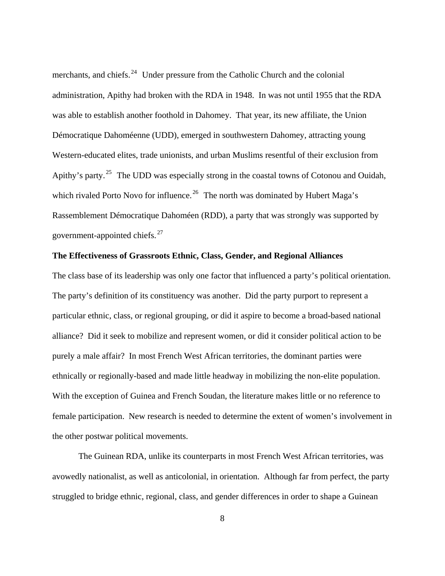merchants, and chiefs.<sup>24</sup> Under pressure from the Catholic Church and the colonial administration, Apithy had broken with the RDA in 1948. In was not until 1955 that the RDA was able to establish another foothold in Dahomey. That year, its new affiliate, the Union Démocratique Dahoméenne (UDD), emerged in southwestern Dahomey, attracting young Western-educated elites, trade unionists, and urban Muslims resentful of their exclusion from Apithy's party.<sup>25</sup> The UDD was especially strong in the coastal towns of Cotonou and Ouidah, which rivaled Porto Novo for influence.<sup>26</sup> The north was dominated by Hubert Maga's Rassemblement Démocratique Dahoméen (RDD), a party that was strongly was supported by government-appointed chiefs. <sup>27</sup>

### **The Effectiveness of Grassroots Ethnic, Class, Gender, and Regional Alliances**

The class base of its leadership was only one factor that influenced a party's political orientation. The party's definition of its constituency was another. Did the party purport to represent a particular ethnic, class, or regional grouping, or did it aspire to become a broad-based national alliance? Did it seek to mobilize and represent women, or did it consider political action to be purely a male affair? In most French West African territories, the dominant parties were ethnically or regionally-based and made little headway in mobilizing the non-elite population. With the exception of Guinea and French Soudan, the literature makes little or no reference to female participation. New research is needed to determine the extent of women's involvement in the other postwar political movements.

 The Guinean RDA, unlike its counterparts in most French West African territories, was avowedly nationalist, as well as anticolonial, in orientation. Although far from perfect, the party struggled to bridge ethnic, regional, class, and gender differences in order to shape a Guinean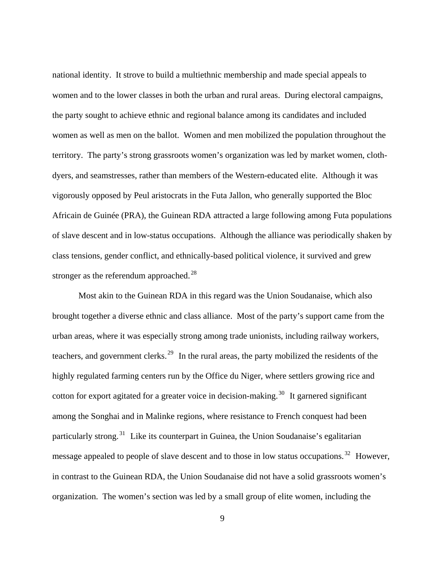national identity. It strove to build a multiethnic membership and made special appeals to women and to the lower classes in both the urban and rural areas. During electoral campaigns, the party sought to achieve ethnic and regional balance among its candidates and included women as well as men on the ballot. Women and men mobilized the population throughout the territory. The party's strong grassroots women's organization was led by market women, clothdyers, and seamstresses, rather than members of the Western-educated elite. Although it was vigorously opposed by Peul aristocrats in the Futa Jallon, who generally supported the Bloc Africain de Guinée (PRA), the Guinean RDA attracted a large following among Futa populations of slave descent and in low-status occupations. Although the alliance was periodically shaken by class tensions, gender conflict, and ethnically-based political violence, it survived and grew stronger as the referendum approached.<sup>28</sup>

 Most akin to the Guinean RDA in this regard was the Union Soudanaise, which also brought together a diverse ethnic and class alliance. Most of the party's support came from the urban areas, where it was especially strong among trade unionists, including railway workers, teachers, and government clerks.<sup>29</sup> In the rural areas, the party mobilized the residents of the highly regulated farming centers run by the Office du Niger, where settlers growing rice and cotton for export agitated for a greater voice in decision-making.<sup>30</sup> It garnered significant among the Songhai and in Malinke regions, where resistance to French conquest had been particularly strong.<sup>31</sup> Like its counterpart in Guinea, the Union Soudanaise's egalitarian message appealed to people of slave descent and to those in low status occupations.<sup>32</sup> However, in contrast to the Guinean RDA, the Union Soudanaise did not have a solid grassroots women's organization. The women's section was led by a small group of elite women, including the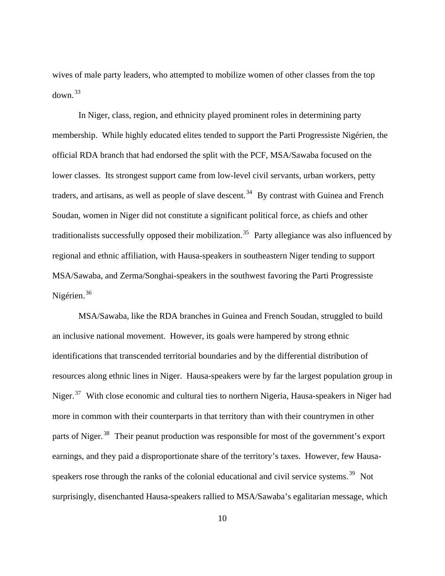wives of male party leaders, who attempted to mobilize women of other classes from the top down. 33

 In Niger, class, region, and ethnicity played prominent roles in determining party membership. While highly educated elites tended to support the Parti Progressiste Nigérien, the official RDA branch that had endorsed the split with the PCF, MSA/Sawaba focused on the lower classes. Its strongest support came from low-level civil servants, urban workers, petty traders, and artisans, as well as people of slave descent.<sup>34</sup> By contrast with Guinea and French Soudan, women in Niger did not constitute a significant political force, as chiefs and other traditionalists successfully opposed their mobilization.<sup>35</sup> Party allegiance was also influenced by regional and ethnic affiliation, with Hausa-speakers in southeastern Niger tending to support MSA/Sawaba, and Zerma/Songhai-speakers in the southwest favoring the Parti Progressiste Nigérien.<sup>36</sup>

 MSA/Sawaba, like the RDA branches in Guinea and French Soudan, struggled to build an inclusive national movement. However, its goals were hampered by strong ethnic identifications that transcended territorial boundaries and by the differential distribution of resources along ethnic lines in Niger. Hausa-speakers were by far the largest population group in Niger.<sup>37</sup> With close economic and cultural ties to northern Nigeria, Hausa-speakers in Niger had more in common with their counterparts in that territory than with their countrymen in other parts of Niger.<sup>38</sup> Their peanut production was responsible for most of the government's export earnings, and they paid a disproportionate share of the territory's taxes. However, few Hausaspeakers rose through the ranks of the colonial educational and civil service systems.<sup>39</sup> Not surprisingly, disenchanted Hausa-speakers rallied to MSA/Sawaba's egalitarian message, which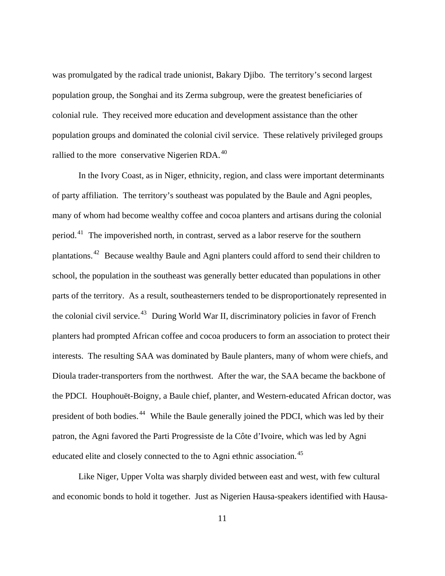was promulgated by the radical trade unionist, Bakary Djibo. The territory's second largest population group, the Songhai and its Zerma subgroup, were the greatest beneficiaries of colonial rule. They received more education and development assistance than the other population groups and dominated the colonial civil service. These relatively privileged groups rallied to the more conservative Nigerien RDA.<sup>40</sup>

 In the Ivory Coast, as in Niger, ethnicity, region, and class were important determinants of party affiliation. The territory's southeast was populated by the Baule and Agni peoples, many of whom had become wealthy coffee and cocoa planters and artisans during the colonial period. 41 The impoverished north, in contrast, served as a labor reserve for the southern plantations. 42 Because wealthy Baule and Agni planters could afford to send their children to school, the population in the southeast was generally better educated than populations in other parts of the territory. As a result, southeasterners tended to be disproportionately represented in the colonial civil service.<sup>43</sup> During World War II, discriminatory policies in favor of French planters had prompted African coffee and cocoa producers to form an association to protect their interests. The resulting SAA was dominated by Baule planters, many of whom were chiefs, and Dioula trader-transporters from the northwest. After the war, the SAA became the backbone of the PDCI. Houphouët-Boigny, a Baule chief, planter, and Western-educated African doctor, was president of both bodies. 44 While the Baule generally joined the PDCI, which was led by their patron, the Agni favored the Parti Progressiste de la Côte d'Ivoire, which was led by Agni educated elite and closely connected to the to Agni ethnic association. 45

 Like Niger, Upper Volta was sharply divided between east and west, with few cultural and economic bonds to hold it together. Just as Nigerien Hausa-speakers identified with Hausa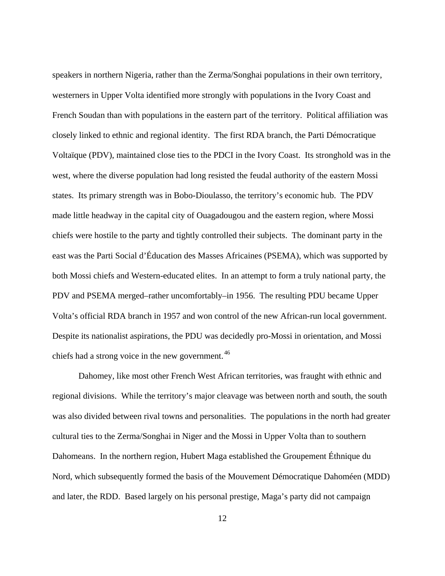speakers in northern Nigeria, rather than the Zerma/Songhai populations in their own territory, westerners in Upper Volta identified more strongly with populations in the Ivory Coast and French Soudan than with populations in the eastern part of the territory. Political affiliation was closely linked to ethnic and regional identity. The first RDA branch, the Parti Démocratique Voltaïque (PDV), maintained close ties to the PDCI in the Ivory Coast. Its stronghold was in the west, where the diverse population had long resisted the feudal authority of the eastern Mossi states. Its primary strength was in Bobo-Dioulasso, the territory's economic hub. The PDV made little headway in the capital city of Ouagadougou and the eastern region, where Mossi chiefs were hostile to the party and tightly controlled their subjects. The dominant party in the east was the Parti Social d'Éducation des Masses Africaines (PSEMA), which was supported by both Mossi chiefs and Western-educated elites. In an attempt to form a truly national party, the PDV and PSEMA merged–rather uncomfortably–in 1956. The resulting PDU became Upper Volta's official RDA branch in 1957 and won control of the new African-run local government. Despite its nationalist aspirations, the PDU was decidedly pro-Mossi in orientation, and Mossi chiefs had a strong voice in the new government.<sup>46</sup>

 Dahomey, like most other French West African territories, was fraught with ethnic and regional divisions. While the territory's major cleavage was between north and south, the south was also divided between rival towns and personalities. The populations in the north had greater cultural ties to the Zerma/Songhai in Niger and the Mossi in Upper Volta than to southern Dahomeans. In the northern region, Hubert Maga established the Groupement Éthnique du Nord, which subsequently formed the basis of the Mouvement Démocratique Dahoméen (MDD) and later, the RDD. Based largely on his personal prestige, Maga's party did not campaign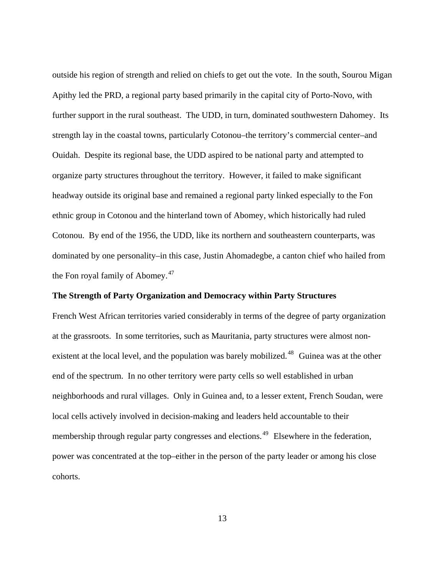outside his region of strength and relied on chiefs to get out the vote. In the south, Sourou Migan Apithy led the PRD, a regional party based primarily in the capital city of Porto-Novo, with further support in the rural southeast. The UDD, in turn, dominated southwestern Dahomey. Its strength lay in the coastal towns, particularly Cotonou–the territory's commercial center–and Ouidah. Despite its regional base, the UDD aspired to be national party and attempted to organize party structures throughout the territory. However, it failed to make significant headway outside its original base and remained a regional party linked especially to the Fon ethnic group in Cotonou and the hinterland town of Abomey, which historically had ruled Cotonou. By end of the 1956, the UDD, like its northern and southeastern counterparts, was dominated by one personality–in this case, Justin Ahomadegbe, a canton chief who hailed from the Fon royal family of Abomey. <sup>47</sup>

## **The Strength of Party Organization and Democracy within Party Structures**

French West African territories varied considerably in terms of the degree of party organization at the grassroots. In some territories, such as Mauritania, party structures were almost nonexistent at the local level, and the population was barely mobilized.<sup>48</sup> Guinea was at the other end of the spectrum. In no other territory were party cells so well established in urban neighborhoods and rural villages. Only in Guinea and, to a lesser extent, French Soudan, were local cells actively involved in decision-making and leaders held accountable to their membership through regular party congresses and elections.<sup>49</sup> Elsewhere in the federation, power was concentrated at the top–either in the person of the party leader or among his close cohorts.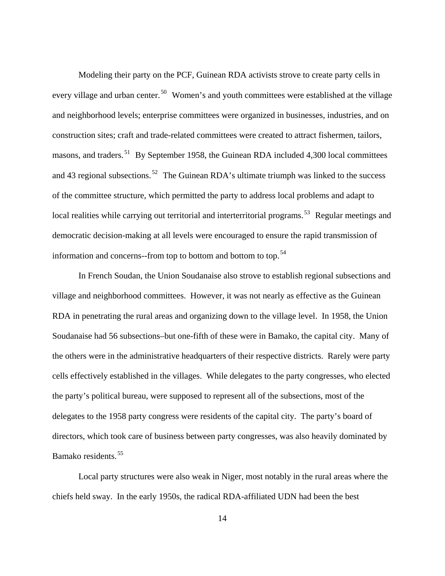Modeling their party on the PCF, Guinean RDA activists strove to create party cells in every village and urban center.<sup>50</sup> Women's and youth committees were established at the village and neighborhood levels; enterprise committees were organized in businesses, industries, and on construction sites; craft and trade-related committees were created to attract fishermen, tailors, masons, and traders.<sup>51</sup> By September 1958, the Guinean RDA included 4,300 local committees and 43 regional subsections.<sup>52</sup> The Guinean RDA's ultimate triumph was linked to the success of the committee structure, which permitted the party to address local problems and adapt to local realities while carrying out territorial and interterritorial programs.<sup>53</sup> Regular meetings and democratic decision-making at all levels were encouraged to ensure the rapid transmission of information and concerns--from top to bottom and bottom to top. <sup>54</sup>

 In French Soudan, the Union Soudanaise also strove to establish regional subsections and village and neighborhood committees. However, it was not nearly as effective as the Guinean RDA in penetrating the rural areas and organizing down to the village level. In 1958, the Union Soudanaise had 56 subsections–but one-fifth of these were in Bamako, the capital city. Many of the others were in the administrative headquarters of their respective districts. Rarely were party cells effectively established in the villages. While delegates to the party congresses, who elected the party's political bureau, were supposed to represent all of the subsections, most of the delegates to the 1958 party congress were residents of the capital city. The party's board of directors, which took care of business between party congresses, was also heavily dominated by Bamako residents. 55

 Local party structures were also weak in Niger, most notably in the rural areas where the chiefs held sway. In the early 1950s, the radical RDA-affiliated UDN had been the best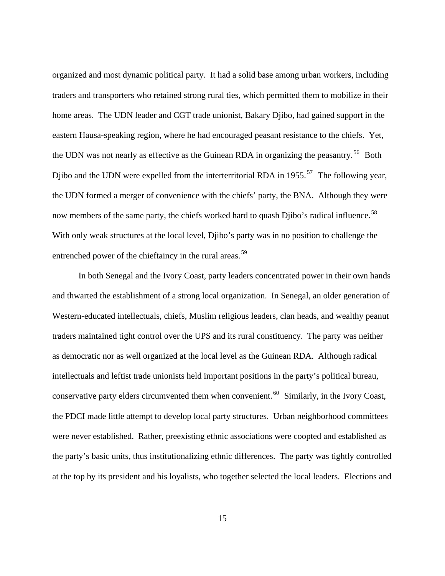organized and most dynamic political party. It had a solid base among urban workers, including traders and transporters who retained strong rural ties, which permitted them to mobilize in their home areas. The UDN leader and CGT trade unionist, Bakary Djibo, had gained support in the eastern Hausa-speaking region, where he had encouraged peasant resistance to the chiefs. Yet, the UDN was not nearly as effective as the Guinean RDA in organizing the peasantry.<sup>56</sup> Both Djibo and the UDN were expelled from the interterritorial RDA in 1955.<sup>57</sup> The following year, the UDN formed a merger of convenience with the chiefs' party, the BNA. Although they were now members of the same party, the chiefs worked hard to quash Djibo's radical influence.<sup>58</sup> With only weak structures at the local level, Djibo's party was in no position to challenge the entrenched power of the chieftaincy in the rural areas.<sup>59</sup>

 In both Senegal and the Ivory Coast, party leaders concentrated power in their own hands and thwarted the establishment of a strong local organization. In Senegal, an older generation of Western-educated intellectuals, chiefs, Muslim religious leaders, clan heads, and wealthy peanut traders maintained tight control over the UPS and its rural constituency. The party was neither as democratic nor as well organized at the local level as the Guinean RDA. Although radical intellectuals and leftist trade unionists held important positions in the party's political bureau, conservative party elders circumvented them when convenient.<sup>60</sup> Similarly, in the Ivory Coast, the PDCI made little attempt to develop local party structures. Urban neighborhood committees were never established. Rather, preexisting ethnic associations were coopted and established as the party's basic units, thus institutionalizing ethnic differences. The party was tightly controlled at the top by its president and his loyalists, who together selected the local leaders. Elections and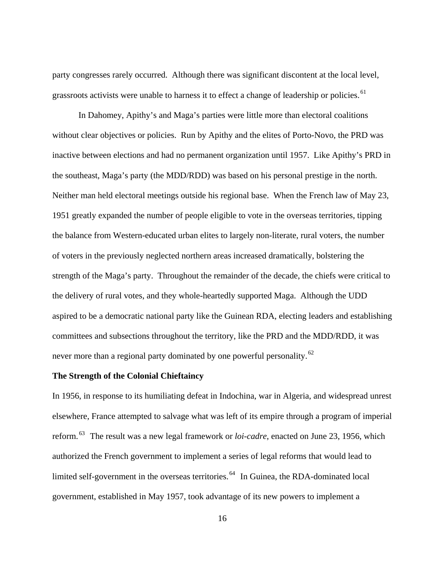party congresses rarely occurred. Although there was significant discontent at the local level, grassroots activists were unable to harness it to effect a change of leadership or policies.<sup>61</sup>

 In Dahomey, Apithy's and Maga's parties were little more than electoral coalitions without clear objectives or policies. Run by Apithy and the elites of Porto-Novo, the PRD was inactive between elections and had no permanent organization until 1957. Like Apithy's PRD in the southeast, Maga's party (the MDD/RDD) was based on his personal prestige in the north. Neither man held electoral meetings outside his regional base. When the French law of May 23, 1951 greatly expanded the number of people eligible to vote in the overseas territories, tipping the balance from Western-educated urban elites to largely non-literate, rural voters, the number of voters in the previously neglected northern areas increased dramatically, bolstering the strength of the Maga's party. Throughout the remainder of the decade, the chiefs were critical to the delivery of rural votes, and they whole-heartedly supported Maga. Although the UDD aspired to be a democratic national party like the Guinean RDA, electing leaders and establishing committees and subsections throughout the territory, like the PRD and the MDD/RDD, it was never more than a regional party dominated by one powerful personality.<sup>62</sup>

### **The Strength of the Colonial Chieftaincy**

In 1956, in response to its humiliating defeat in Indochina, war in Algeria, and widespread unrest elsewhere, France attempted to salvage what was left of its empire through a program of imperial reform. 63 The result was a new legal framework or *loi-cadre*, enacted on June 23, 1956, which authorized the French government to implement a series of legal reforms that would lead to limited self-government in the overseas territories.<sup>64</sup> In Guinea, the RDA-dominated local government, established in May 1957, took advantage of its new powers to implement a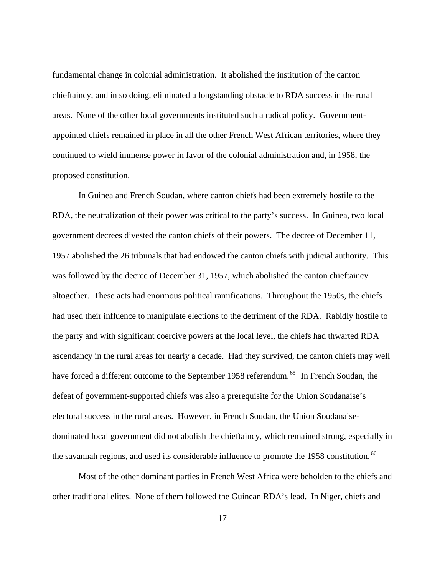fundamental change in colonial administration. It abolished the institution of the canton chieftaincy, and in so doing, eliminated a longstanding obstacle to RDA success in the rural areas. None of the other local governments instituted such a radical policy. Governmentappointed chiefs remained in place in all the other French West African territories, where they continued to wield immense power in favor of the colonial administration and, in 1958, the proposed constitution.

 In Guinea and French Soudan, where canton chiefs had been extremely hostile to the RDA, the neutralization of their power was critical to the party's success. In Guinea, two local government decrees divested the canton chiefs of their powers. The decree of December 11, 1957 abolished the 26 tribunals that had endowed the canton chiefs with judicial authority. This was followed by the decree of December 31, 1957, which abolished the canton chieftaincy altogether. These acts had enormous political ramifications. Throughout the 1950s, the chiefs had used their influence to manipulate elections to the detriment of the RDA. Rabidly hostile to the party and with significant coercive powers at the local level, the chiefs had thwarted RDA ascendancy in the rural areas for nearly a decade. Had they survived, the canton chiefs may well have forced a different outcome to the September 1958 referendum.<sup>65</sup> In French Soudan, the defeat of government-supported chiefs was also a prerequisite for the Union Soudanaise's electoral success in the rural areas. However, in French Soudan, the Union Soudanaisedominated local government did not abolish the chieftaincy, which remained strong, especially in the savannah regions, and used its considerable influence to promote the 1958 constitution.<sup>66</sup>

 Most of the other dominant parties in French West Africa were beholden to the chiefs and other traditional elites. None of them followed the Guinean RDA's lead. In Niger, chiefs and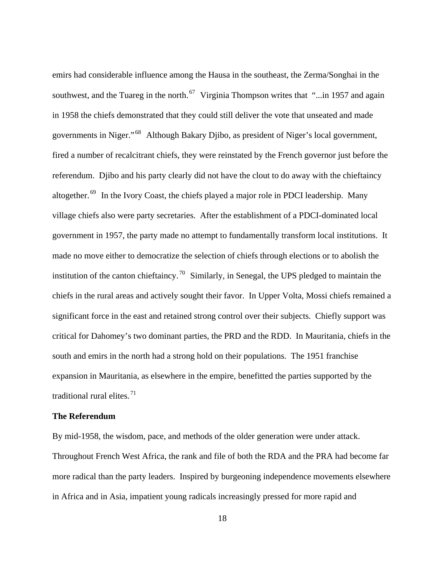emirs had considerable influence among the Hausa in the southeast, the Zerma/Songhai in the southwest, and the Tuareg in the north.  $67$  Virginia Thompson writes that "...in 1957 and again in 1958 the chiefs demonstrated that they could still deliver the vote that unseated and made governments in Niger." 68 Although Bakary Djibo, as president of Niger's local government, fired a number of recalcitrant chiefs, they were reinstated by the French governor just before the referendum. Djibo and his party clearly did not have the clout to do away with the chieftaincy altogether. 69 In the Ivory Coast, the chiefs played a major role in PDCI leadership. Many village chiefs also were party secretaries. After the establishment of a PDCI-dominated local government in 1957, the party made no attempt to fundamentally transform local institutions. It made no move either to democratize the selection of chiefs through elections or to abolish the institution of the canton chieftaincy.<sup>70</sup> Similarly, in Senegal, the UPS pledged to maintain the chiefs in the rural areas and actively sought their favor. In Upper Volta, Mossi chiefs remained a significant force in the east and retained strong control over their subjects. Chiefly support was critical for Dahomey's two dominant parties, the PRD and the RDD. In Mauritania, chiefs in the south and emirs in the north had a strong hold on their populations. The 1951 franchise expansion in Mauritania, as elsewhere in the empire, benefitted the parties supported by the traditional rural elites. $71$ 

## **The Referendum**

By mid-1958, the wisdom, pace, and methods of the older generation were under attack. Throughout French West Africa, the rank and file of both the RDA and the PRA had become far more radical than the party leaders. Inspired by burgeoning independence movements elsewhere in Africa and in Asia, impatient young radicals increasingly pressed for more rapid and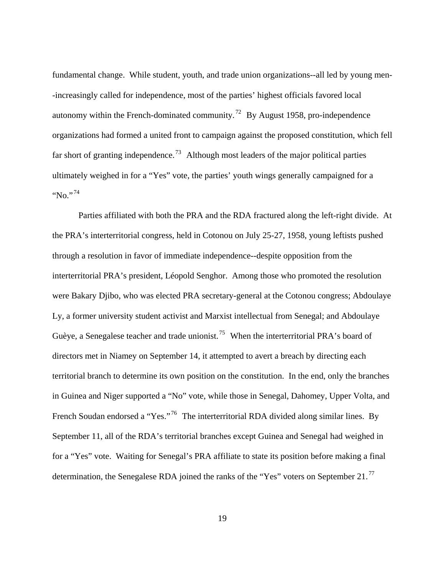fundamental change. While student, youth, and trade union organizations--all led by young men- -increasingly called for independence, most of the parties' highest officials favored local autonomy within the French-dominated community.<sup>72</sup> By August 1958, pro-independence organizations had formed a united front to campaign against the proposed constitution, which fell far short of granting independence.<sup>73</sup> Although most leaders of the major political parties ultimately weighed in for a "Yes" vote, the parties' youth wings generally campaigned for a "No."<sup>74</sup>

 Parties affiliated with both the PRA and the RDA fractured along the left-right divide. At the PRA's interterritorial congress, held in Cotonou on July 25-27, 1958, young leftists pushed through a resolution in favor of immediate independence--despite opposition from the interterritorial PRA's president, Léopold Senghor. Among those who promoted the resolution were Bakary Djibo, who was elected PRA secretary-general at the Cotonou congress; Abdoulaye Ly, a former university student activist and Marxist intellectual from Senegal; and Abdoulaye Guèye, a Senegalese teacher and trade unionist.<sup>75</sup> When the interterritorial PRA's board of directors met in Niamey on September 14, it attempted to avert a breach by directing each territorial branch to determine its own position on the constitution. In the end, only the branches in Guinea and Niger supported a "No" vote, while those in Senegal, Dahomey, Upper Volta, and French Soudan endorsed a "Yes."<sup>76</sup> The interterritorial RDA divided along similar lines. By September 11, all of the RDA's territorial branches except Guinea and Senegal had weighed in for a "Yes" vote. Waiting for Senegal's PRA affiliate to state its position before making a final determination, the Senegalese RDA joined the ranks of the "Yes" voters on September 21.<sup>77</sup>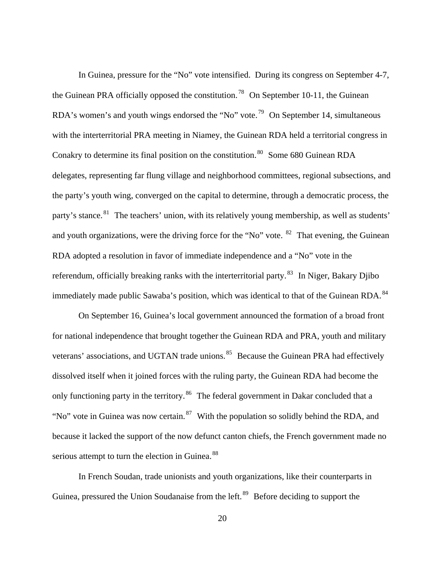In Guinea, pressure for the "No" vote intensified. During its congress on September 4-7, the Guinean PRA officially opposed the constitution.<sup>78</sup> On September 10-11, the Guinean RDA's women's and youth wings endorsed the "No" vote.<sup>79</sup> On September 14, simultaneous with the interterritorial PRA meeting in Niamey, the Guinean RDA held a territorial congress in Conakry to determine its final position on the constitution.<sup>80</sup> Some 680 Guinean RDA delegates, representing far flung village and neighborhood committees, regional subsection s, and the party's youth wing, converged on the capital to determine, through a democratic process, t he party's stance.<sup>81</sup> The teachers' union, with its relatively young membership, as well as students' and youth organizations, were the driving force for the "No" vote. <sup>82</sup> That evening, the Guinean RDA adopted a resolution in favor of immediate independence and a "No" vote in the referendum, officially breaking ranks with the interterritorial party.<sup>83</sup> In Niger, Bakary Djibo immediately made public Sawaba's position, which was identical to that of the Guinean RDA.<sup>84</sup>

serious attempt to turn the election in Guinea.<sup>88</sup> On September 16, Guinea's local government announced the formation of a broad front for national independence that brought together the Guinean RDA and PRA, youth and military veterans' associations, and UGTAN trade unions.<sup>85</sup> Because the Guinean PRA had effectively dissolved itself when it joined forces with the ruling party, the Guinean RDA had become the only functioning party in the territory.<sup>86</sup> The federal government in Dakar concluded that a "No" vote in Guinea was now certain.  $87$  With the population so solidly behind the RDA, and because it lacked the support of the now defunct canton chiefs, the French government made no

 In French Soudan, trade unionists and youth organizations, like their counterparts in Guinea, pressured the Union Soudanaise from the left.<sup>89</sup> Before deciding to support the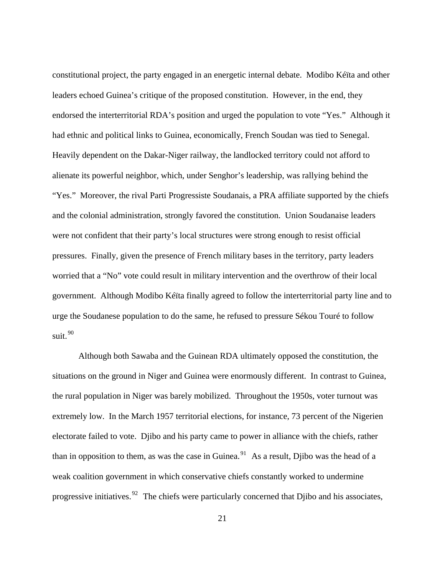constitutional project, the party engaged in an energetic internal debate. Modibo Kéïta and other leaders echoed Guinea's critique of the proposed constitution. However, in the end, they endorsed the interterritorial RDA's position and urged the population to vote "Yes." Although it had ethnic and political links to Guinea, economically, French Soudan was tied to Senegal. Heavily dependent on the Dakar-Niger railway, the landlocked territory could not afford to alienate its powerful neighbor, which, under Senghor's leadership, was rallying behind the "Yes." Moreover, the rival Parti Progressiste Soudanais, a PRA affiliate supported by the chiefs and the colonial administration, strongly favored the constitution. Union Soudanaise leaders were not confident that their party's local structures were strong enough to resist official pressures. Finally, given the presence of French military bases in the territory, party leaders worried that a "No" vote could result in military intervention and the overthrow of their local government. Although Modibo Kéïta finally agreed to follow the interterritorial party line and to urge the Soudanese population to do the same, he refused to pressure Sékou Touré to follow suit. 90

 Although both Sawaba and the Guinean RDA ultimately opposed the constitution, the situations on the ground in Niger and Guinea were enormously different. In contrast to Guinea, the rural population in Niger was barely mobilized. Throughout the 1950s, voter turnout was extremely low. In the March 1957 territorial elections, for instance, 73 percent of the Nigerien electorate failed to vote. Djibo and his party came to power in alliance with the chiefs, rather than in opposition to them, as was the case in Guinea.<sup>91</sup> As a result, Djibo was the head of a weak coalition government in which conservative chiefs constantly worked to undermine progressive initiatives.  $92$  The chiefs were particularly concerned that Diibo and his associates,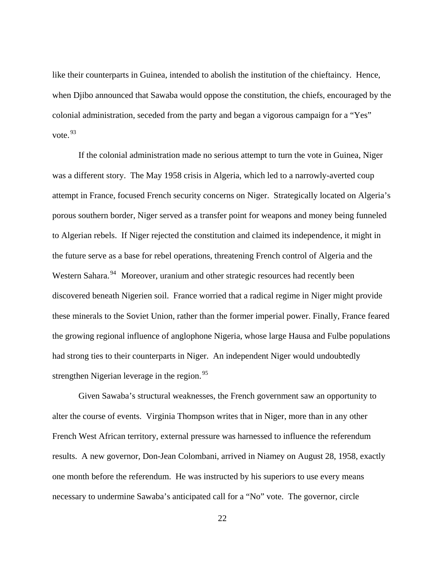like their counterparts in Guinea, intended to abolish the institution of the chieftaincy. Hence, when Djibo announced that Sawaba would oppose the constitution, the chiefs, encouraged by the colonial administration, seceded from the party and began a vigorous campaign for a "Yes" vote. <sup>93</sup>

 If the colonial administration made no serious attempt to turn the vote in Guinea, Niger was a different story. The May 1958 crisis in Algeria, which led to a narrowly-averted coup attempt in France, focused French security concerns on Niger. Strategically located on Algeria's porous southern border, Niger served as a transfer point for weapons and money being funneled to Algerian rebels. If Niger rejected the constitution and claimed its independence, it might in the future serve as a base for rebel operations, threatening French control of Algeria and the Western Sahara.<sup>94</sup> Moreover, uranium and other strategic resources had recently been discovered beneath Nigerien soil. France worried that a radical regime in Niger might provide these minerals to the Soviet Union, rather than the former imperial power. Finally, France feared the growing regional influence of anglophone Nigeria, whose large Hausa and Fulbe populations had strong ties to their counterparts in Niger. An independent Niger would undoubtedly strengthen Nigerian leverage in the region.<sup>95</sup>

 Given Sawaba's structural weaknesses, the French government saw an opportunity to alter the course of events. Virginia Thompson writes that in Niger, more than in any other French West African territory, external pressure was harnessed to influence the referendum results. A new governor, Don-Jean Colombani, arrived in Niamey on August 28, 1958, exactly one month before the referendum. He was instructed by his superiors to use every means necessary to undermine Sawaba's anticipated call for a "No" vote. The governor, circle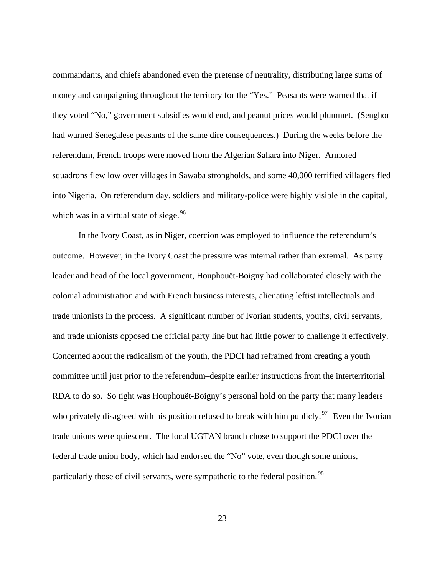commandants, and chiefs abandoned even the pretense of neutrality, distributing large sums of money and campaigning throughout the territory for the "Yes." Peasants were warned that if they voted "No," government subsidies would end, and peanut prices would plummet. (Senghor had warned Senegalese peasants of the same dire consequences.) During the weeks before the referendum, French troops were moved from the Algerian Sahara into Niger. Armored squadrons flew low over villages in Sawaba strongholds, and some 40,000 terrified villagers fled into Nigeria. On referendum day, soldiers and military-police were highly visible in the capital, which was in a virtual state of siege. $96$ 

 In the Ivory Coast, as in Niger, coercion was employed to influence the referendum's outcome. However, in the Ivory Coast the pressure was internal rather than external. As party leader and head of the local government, Houphouët-Boigny had collaborated closely with the colonial administration and with French business interests, alienating leftist intellectuals and trade unionists in the process. A significant number of Ivorian students, youths, civil servants, and trade unionists opposed the official party line but had little power to challenge it effectively. Concerned about the radicalism of the youth, the PDCI had refrained from creating a youth committee until just prior to the referendum–despite earlier instructions from the interterritorial RDA to do so. So tight was Houphouët-Boigny's personal hold on the party that many leaders who privately disagreed with his position refused to break with him publicly.<sup>97</sup> Even the Ivorian trade unions were quiescent. The local UGTAN branch chose to support the PDCI over the federal trade union body, which had endorsed the "No" vote, even though some unions, particularly those of civil servants, were sympathetic to the federal position.<sup>98</sup>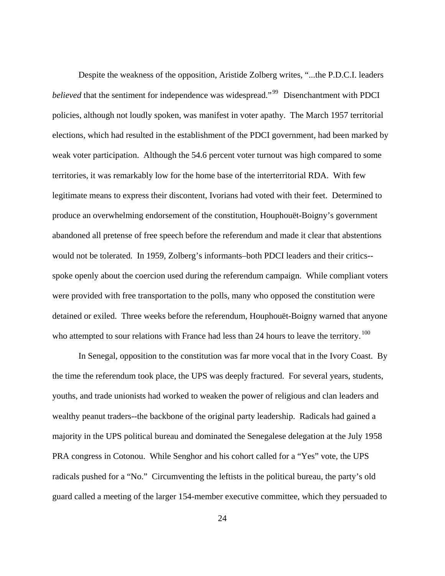Despite the weakness of the opposition, Aristide Zolberg writes, "...the P.D.C.I. leaders *believed* that the sentiment for independence was widespread."<sup>99</sup> Disenchantment with PDCI policies, although not loudly spoken, was manifest in voter apathy. The March 1957 territorial elections, which had resulted in the establishment of the PDCI government, had been marked by weak voter participation. Although the 54.6 percent voter turnout was high compared to some territories, it was remarkably low for the home base of the interterritorial RDA. With few legitimate means to express their discontent, Ivorians had voted with their feet. Determined to produce an overwhelming endorsement of the constitution, Houphouët-Boigny's government abandoned all pretense of free speech before the referendum and made it clear that abstentions would not be tolerated. In 1959, Zolberg's informants–both PDCI leaders and their critics- spoke openly about the coercion used during the referendum campaign. While compliant voters were provided with free transportation to the polls, many who opposed the constitution were detained or exiled. Three weeks before the referendum, Houphouët-Boigny warned that anyone who attempted to sour relations with France had less than 24 hours to leave the territory.  $100$ 

 In Senegal, opposition to the constitution was far more vocal that in the Ivory Coast. By the time the referendum took place, the UPS was deeply fractured. For several years, students, youths, and trade unionists had worked to weaken the power of religious and clan leaders and wealthy peanut traders--the backbone of the original party leadership. Radicals had gained a majority in the UPS political bureau and dominated the Senegalese delegation at the July 1958 PRA congress in Cotonou. While Senghor and his cohort called for a "Yes" vote, the UPS radicals pushed for a "No." Circumventing the leftists in the political bureau, the party's old guard called a meeting of the larger 154-member executive committee, which they persuaded to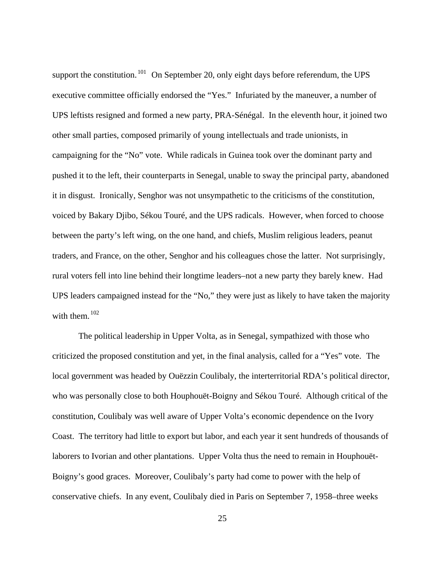support the constitution.  $101$  On September 20, only eight days before referendum, the UPS executive committee officially endorsed the "Yes." Infuriated by the maneuver, a number of UPS leftists resigned and formed a new party, PRA-Sénégal. In the eleventh hour, it joined two other small parties, composed primarily of young intellectuals and trade unionists, in campaigning for the "No" vote. While radicals in Guinea took over the dominant party and pushed it to the left, their counterparts in Senegal, unable to sway the principal party, abandoned it in disgust. Ironically, Senghor was not unsympathetic to the criticisms of the constitution, voiced by Bakary Djibo, Sékou Touré, and the UPS radicals. However, when forced to choose between the party's left wing, on the one hand, and chiefs, Muslim religious leaders, peanut traders, and France, on the other, Senghor and his colleagues chose the latter. Not surprisingly, rural voters fell into line behind their longtime leaders–not a new party they barely knew. Had UPS leaders campaigned instead for the "No," they were just as likely to have taken the majority with them.<sup>102</sup>

 The political leadership in Upper Volta, as in Senegal, sympathized with those who criticized the proposed constitution and yet, in the final analysis, called for a "Yes" vote. The local government was headed by Ouëzzin Coulibaly, the interterritorial RDA's political director, who was personally close to both Houphouët-Boigny and Sékou Touré. Although critical of the constitution, Coulibaly was well aware of Upper Volta's economic dependence on the Ivory Coast. The territory had little to export but labor, and each year it sent hundreds of thousands of laborers to Ivorian and other plantations. Upper Volta thus the need to remain in Houphouët-Boigny's good graces. Moreover, Coulibaly's party had come to power with the help of conservative chiefs. In any event, Coulibaly died in Paris on September 7, 1958–three weeks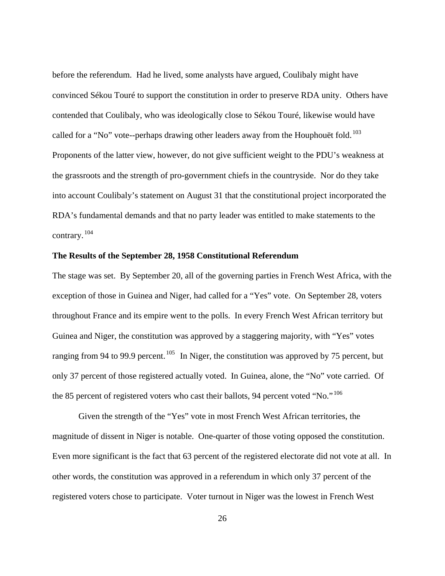before the referendum. Had he lived, some analysts have argued, Coulibaly might have convinced Sékou Touré to support the constitution in order to preserve RDA unity. Others have contended that Coulibaly, who was ideologically close to Sékou Touré, likewise would have called for a "No" vote--perhaps drawing other leaders away from the Houphouët fold.<sup>103</sup> Proponents of the latter view, however, do not give sufficient weight to the PDU's weakness at the grassroots and the strength of pro-government chiefs in the countryside. Nor do they take into account Coulibaly's statement on August 31 that the constitutional project incorporated the RDA's fundamental demands and that no party leader was entitled to make statements to the contrary. <sup>104</sup>

### **The Results of the September 28, 1958 Constitutional Referendum**

The stage was set. By September 20, all of the governing parties in French West Africa, with the exception of those in Guinea and Niger, had called for a "Yes" vote. On September 28, voters throughout France and its empire went to the polls. In every French West African territory but Guinea and Niger, the constitution was approved by a staggering majority, with "Yes" votes ranging from 94 to 99.9 percent.  $105$  In Niger, the constitution was approved by 75 percent, but only 37 percent of those registered actually voted. In Guinea, alone, the "No" vote carried. Of the 85 percent of registered voters who cast their ballots, 94 percent voted "No."<sup>106</sup>

 Given the strength of the "Yes" vote in most French West African territories, the magnitude of dissent in Niger is notable. One-quarter of those voting opposed the constitution. Even more significant is the fact that 63 percent of the registered electorate did not vote at all. In other words, the constitution was approved in a referendum in which only 37 percent of the registered voters chose to participate. Voter turnout in Niger was the lowest in French West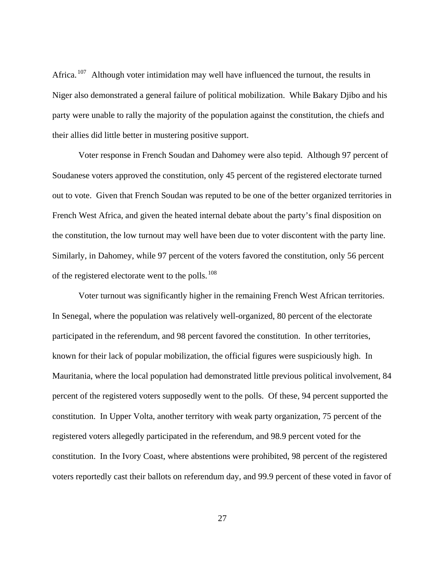Africa.  $107$  Although voter intimidation may well have influenced the turnout, the results in Niger also demonstrated a general failure of political mobilization. While Bakary Djibo and his party were unable to rally the majority of the population against the constitution, the chiefs and their allies did little better in mustering positive support.

 Voter response in French Soudan and Dahomey were also tepid. Although 97 percent of Soudanese voters approved the constitution, only 45 percent of the registered electorate turned out to vote. Given that French Soudan was reputed to be one of the better organized territories in French West Africa, and given the heated internal debate about the party's final disposition on the constitution, the low turnout may well have been due to voter discontent with the party line. Similarly, in Dahomey, while 97 percent of the voters favored the constitution, only 56 percent of the registered electorate went to the polls.<sup>108</sup>

 Voter turnout was significantly higher in the remaining French West African territories. In Senegal, where the population was relatively well-organized, 80 percent of the electorate participated in the referendum, and 98 percent favored the constitution. In other territories, known for their lack of popular mobilization, the official figures were suspiciously high. In Mauritania, where the local population had demonstrated little previous political involvement, 84 percent of the registered voters supposedly went to the polls. Of these, 94 percent supported the constitution. In Upper Volta, another territory with weak party organization, 75 percent of the registered voters allegedly participated in the referendum, and 98.9 percent voted for the constitution. In the Ivory Coast, where abstentions were prohibited, 98 percent of the registered voters reportedly cast their ballots on referendum day, and 99.9 percent of these voted in favor of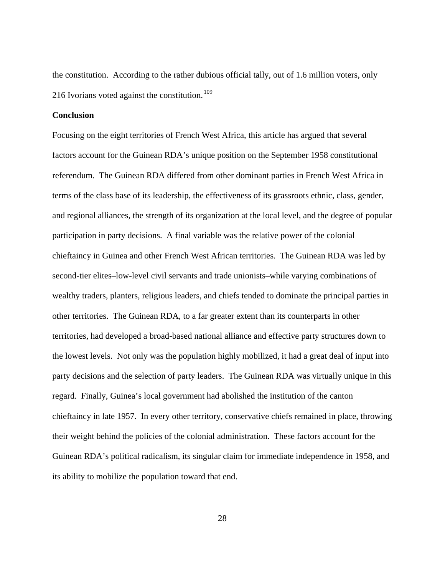the constitution. According to the rather dubious official tally, out of 1.6 million voters, only 216 Ivorians voted against the constitution. <sup>109</sup>

#### **Conclusion**

Focusing on the eight territories of French West Africa, this article has argued that several factors account for the Guinean RDA's unique position on the September 1958 constitutional referendum. The Guinean RDA differed from other dominant parties in French West Africa in terms of the class base of its leadership, the effectiveness of its grassroots ethnic, class, gender, and regional alliances, the strength of its organization at the local level, and the degree of popular participation in party decisions. A final variable was the relative power of the colonial chieftaincy in Guinea and other French West African territories. The Guinean RDA was led by second-tier elites–low-level civil servants and trade unionists–while varying combinations of wealthy traders, planters, religious leaders, and chiefs tended to dominate the principal parties in other territories. The Guinean RDA, to a far greater extent than its counterparts in other territories, had developed a broad-based national alliance and effective party structures down to the lowest levels. Not only was the population highly mobilized, it had a great deal of input into party decisions and the selection of party leaders. The Guinean RDA was virtually unique in this regard. Finally, Guinea's local government had abolished the institution of the canton chieftaincy in late 1957. In every other territory, conservative chiefs remained in place, throwing their weight behind the policies of the colonial administration. These factors account for the Guinean RDA's political radicalism, its singular claim for immediate independence in 1958, and its ability to mobilize the population toward that end.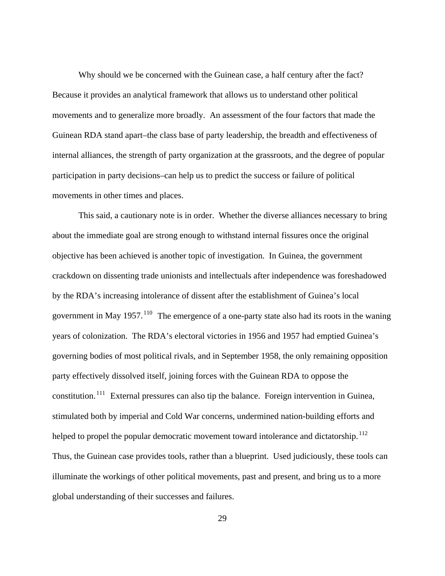Why should we be concerned with the Guinean case, a half century after the fact? Because it provides an analytical framework that allows us to understand other political movements and to generalize more broadly. An assessment of the four factors that made the Guinean RDA stand apart–the class base of party leadership, the breadth and effectiveness of internal alliances, the strength of party organization at the grassroots, and the degree of popular participation in party decisions–can help us to predict the success or failure of political movements in other times and places.

Thus, the Guinean case provides tools, rather than a blueprint. Used judiciously, these tools can This said, a cautionary note is in order. Whether the diverse alliances necessary to bring about the immediate goal are strong enough to withstand internal fissures once the original objective has been achieved is another topic of investigation. In Guinea, the government crackdown on dissenting trade unionists and intellectuals after independence was foreshadowed by the RDA's increasing intolerance of dissent after the establishment of Guinea's local government in May 1957.<sup>110</sup> The emergence of a one-party state also had its roots in the waning years of colonization. The RDA's electoral victories in 1956 and 1957 had emptied Guinea's governing bodies of most political rivals, and in September 1958, the only remaining opposition party effectively dissolved itself, joining forces with the Guinean RDA to oppose the constitution. 111 External pressures can also tip the balance. Foreign intervention in Guinea, stimulated both by imperial and Cold War concerns, undermined nation-building efforts and helped to propel the popular democratic movement toward intolerance and dictatorship.<sup>112</sup> illuminate the workings of other political movements, past and present, and bring us to a more global understanding of their successes and failures.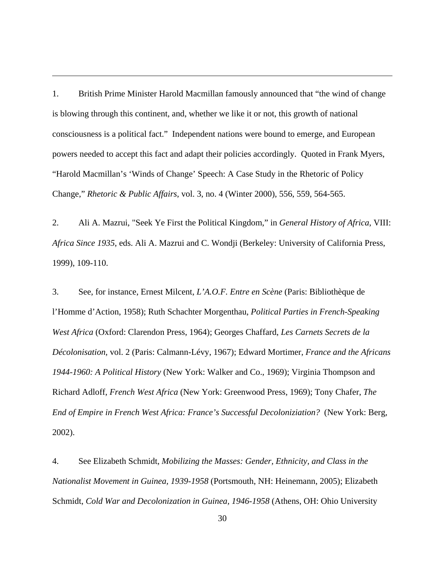1. British Prime Minister Harold Macmillan famously announced that "the wind of change is blowing through this continent, and, whether we like it or not, this growth of national consciousness is a political fact." Independent nations were bound to emerge, and European powers needed to accept this fact and adapt their policies accordingly. Quoted in Frank Myers, "Harold Macmillan's 'Winds of Change' Speech: A Case Study in the Rhetoric of Policy Change," *Rhetoric & Public Affairs*, vol. 3, no. 4 (Winter 2000), 556, 559, 564-565.

 $\overline{a}$ 

2. Ali A. Mazrui, "Seek Ye First the Political Kingdom," in *General History of Africa*, VIII: *Africa Since 1935*, eds. Ali A. Mazrui and C. Wondji (Berkeley: University of California Press, 1999), 109-110.

3. See, for instance, Ernest Milcent, *L'A.O.F. Entre en Scène* (Paris: Bibliothèque de l'Homme d'Action, 1958); Ruth Schachter Morgenthau, *Political Parties in French-Speaking West Africa* (Oxford: Clarendon Press, 1964); Georges Chaffard, *Les Carnets Secrets de la Décolonisation*, vol. 2 (Paris: Calmann-Lévy, 1967); Edward Mortimer, *France and the Africans 1944-1960: A Political History* (New York: Walker and Co., 1969); Virginia Thompson and Richard Adloff, *French West Africa* (New York: Greenwood Press, 1969); Tony Chafer, *The End of Empire in French West Africa: France's Successful Decoloniziation?* (New York: Berg, 2002).

4. See Elizabeth Schmidt, *Mobilizing the Masses: Gender, Ethnicity, and Class in the Nationalist Movement in Guinea, 1939-1958* (Portsmouth, NH: Heinemann, 2005); Elizabeth Schmidt, *Cold War and Decolonization in Guinea, 1946-1958* (Athens, OH: Ohio University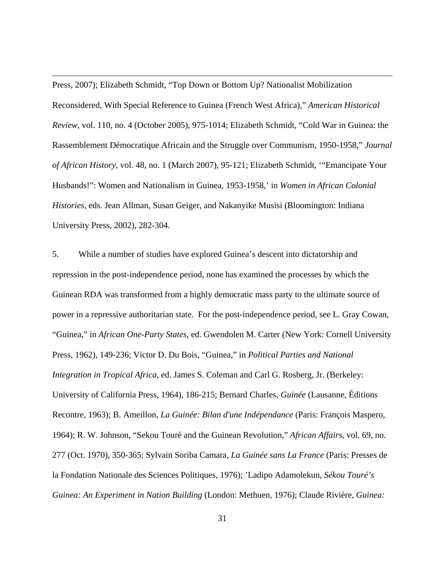Press, 2007); Elizabeth Schmidt, "Top Down or Bottom Up? Nationalist Mobilization Reconsidered, With Special Reference to Guinea (French West Africa)," *American Historical Review*, vol. 110, no. 4 (October 2005), 975-1014; Elizabeth Schmidt, "Cold War in Guinea: the Rassemblement Démocratique Africain and the Struggle over Communism, 1950-1958," *Journal of African History*, vol. 48, no. 1 (March 2007), 95-121; Elizabeth Schmidt, '"Emancipate Your Husbands!": Women and Nationalism in Guinea, 1953-1958,' in *Women in African Colonial Histories*, eds. Jean Allman, Susan Geiger, and Nakanyike Musisi (Bloomington: Indiana University Press, 2002), 282-304.

 $\overline{a}$ 

5. While a number of studies have explored Guinea's descent into dictatorship and repression in the post-independence period, none has examined the processes by which the Guinean RDA was transformed from a highly democratic mass party to the ultimate source of power in a repressive authoritarian state. For the post-independence period, see L. Gray Cowan, "Guinea," in *African One-Party States*, ed. Gwendolen M. Carter (New York: Cornell University Press, 1962), 149-236; Victor D. Du Bois, "Guinea," in *Political Parties and National Integration in Tropical Africa*, ed. James S. Coleman and Carl G. Rosberg, Jr. (Berkeley: University of California Press, 1964), 186-215; Bernard Charles, *Guinée* (Lausanne, Éditions Recontre, 1963); B. Ameillon, *La Guinée: Bilan d'une Indépendance* (Paris: François Maspero, 1964); R. W. Johnson, "Sekou Touré and the Guinean Revolution," *African Affairs*, vol. 69, no. 277 (Oct. 1970), 350-365; Sylvain Soriba Camara, *La Guinée sans La France* (Paris: Presses de la Fondation Nationale des Sciences Politiques, 1976); 'Ladipo Adamolekun, *Sékou Touré's Guinea: An Experiment in Nation Building* (London: Methuen, 1976); Claude Rivière, *Guinea:*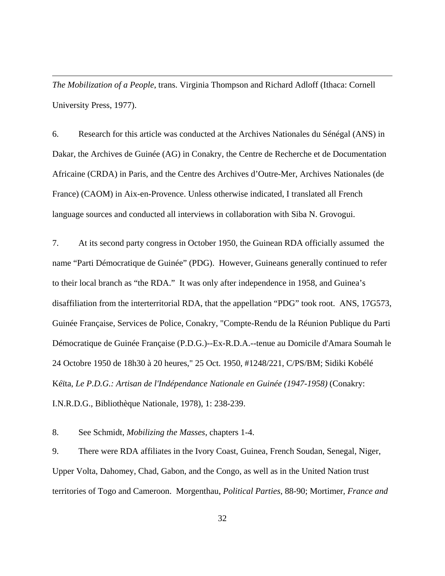*The Mobilization of a People*, trans. Virginia Thompson and Richard Adloff (Ithaca: Cornell University Press, 1977).

 $\overline{a}$ 

6. Research for this article was conducted at the Archives Nationales du Sénégal (ANS) in Dakar, the Archives de Guinée (AG) in Conakry, the Centre de Recherche et de Documentation Africaine (CRDA) in Paris, and the Centre des Archives d'Outre-Mer, Archives Nationales (de France) (CAOM) in Aix-en-Provence. Unless otherwise indicated, I translated all French language sources and conducted all interviews in collaboration with Siba N. Grovogui.

7. At its second party congress in October 1950, the Guinean RDA officially assumed the name "Parti Démocratique de Guinée" (PDG). However, Guineans generally continued to refer to their local branch as "the RDA." It was only after independence in 1958, and Guinea's disaffiliation from the interterritorial RDA, that the appellation "PDG" took root. ANS, 17G573, Guinée Française, Services de Police, Conakry, "Compte-Rendu de la Réunion Publique du Parti Démocratique de Guinée Française (P.D.G.)--Ex-R.D.A.--tenue au Domicile d'Amara Soumah le 24 Octobre 1950 de 18h30 à 20 heures," 25 Oct. 1950, #1248/221, C/PS/BM; Sidiki Kobélé Kéïta, *Le P.D.G.: Artisan de l'Indépendance Nationale en Guinée (1947-1958)* (Conakry: I.N.R.D.G., Bibliothèque Nationale, 1978), 1: 238-239.

8. See Schmidt, *Mobilizing the Masses*, chapters 1-4.

9. There were RDA affiliates in the Ivory Coast, Guinea, French Soudan, Senegal, Niger, Upper Volta, Dahomey, Chad, Gabon, and the Congo, as well as in the United Nation trust territories of Togo and Cameroon. Morgenthau, *Political Parties*, 88-90; Mortimer, *France and*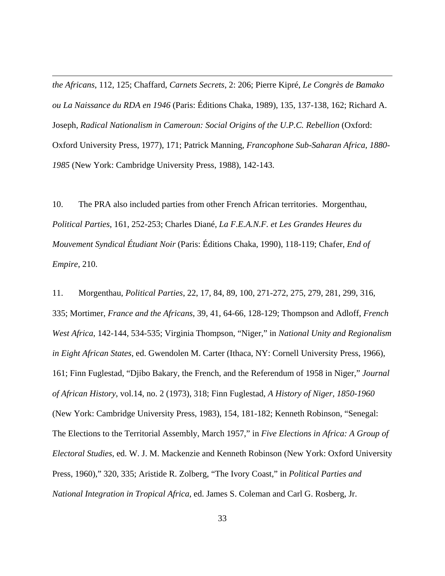*the Africans*, 112, 125; Chaffard, *Carnets Secrets*, 2: 206; Pierre Kipré, *Le Congrès de Bamako ou La Naissance du RDA en 1946* (Paris: Éditions Chaka, 1989), 135, 137-138, 162; Richard A. Joseph, *Radical Nationalism in Cameroun: Social Origins of the U.P.C. Rebellion* (Oxford: Oxford University Press, 1977), 171; Patrick Manning, *Francophone Sub-Saharan Africa, 1880- 1985* (New York: Cambridge University Press, 1988), 142-143.

 $\overline{a}$ 

10. The PRA also included parties from other French African territories. Morgenthau, *Political Parties*, 161, 252-253; Charles Diané, *La F.E.A.N.F. et Les Grandes Heures du Mouvement Syndical Étudiant Noir* (Paris: Éditions Chaka, 1990), 118-119; Chafer, *End of Empire*, 210.

11. Morgenthau, *Political Parties*, 22, 17, 84, 89, 100, 271-272, 275, 279, 281, 299, 316, 335; Mortimer, *France and the Africans*, 39, 41, 64-66, 128-129; Thompson and Adloff, *French West Africa*, 142-144, 534-535; Virginia Thompson, "Niger," in *National Unity and Regionalism in Eight African States*, ed. Gwendolen M. Carter (Ithaca, NY: Cornell University Press, 1966), 161; Finn Fuglestad, "Djibo Bakary, the French, and the Referendum of 1958 in Niger," *Journal of African History*, vol.14, no. 2 (1973), 318; Finn Fuglestad, *A History of Niger, 1850-1960* (New York: Cambridge University Press, 1983), 154, 181-182; Kenneth Robinson, "Senegal: The Elections to the Territorial Assembly, March 1957," in *Five Elections in Africa: A Group of Electoral Studies*, ed. W. J. M. Mackenzie and Kenneth Robinson (New York: Oxford University Press, 1960)," 320, 335; Aristide R. Zolberg, "The Ivory Coast," in *Political Parties and National Integration in Tropical Africa*, ed. James S. Coleman and Carl G. Rosberg, Jr.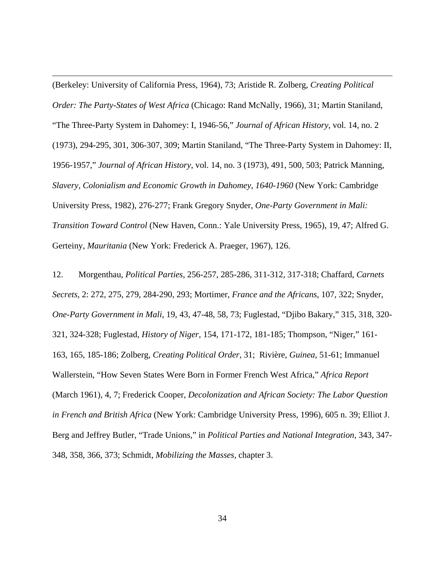(Berkeley: University of California Press, 1964), 73; Aristide R. Zolberg, *Creating Political Order: The Party-States of West Africa* (Chicago: Rand McNally, 1966), 31; Martin Staniland, "The Three-Party System in Dahomey: I, 1946-56," *Journal of African History*, vol. 14, no. 2 (1973), 294-295, 301, 306-307, 309; Martin Staniland, "The Three-Party System in Dahomey: II, 1956-1957," *Journal of African History*, vol. 14, no. 3 (1973), 491, 500, 503; Patrick Manning, *Slavery, Colonialism and Economic Growth in Dahomey, 1640-1960* (New York: Cambridge University Press, 1982), 276-277; Frank Gregory Snyder, *One-Party Government in Mali: Transition Toward Control* (New Haven, Conn.: Yale University Press, 1965), 19, 47; Alfred G. Gerteiny, *Mauritania* (New York: Frederick A. Praeger, 1967), 126.

 $\overline{a}$ 

12. Morgenthau, *Political Parties*, 256-257, 285-286, 311-312, 317-318; Chaffard, *Carnets Secrets*, 2: 272, 275, 279, 284-290, 293; Mortimer, *France and the Africans*, 107, 322; Snyder, *One-Party Government in Mali*, 19, 43, 47-48, 58, 73; Fuglestad, "Djibo Bakary," 315, 318, 320- 321, 324-328; Fuglestad, *History of Niger*, 154, 171-172, 181-185; Thompson, "Niger," 161- 163, 165, 185-186; Zolberg, *Creating Political Order*, 31; Rivière, *Guinea*, 51-61; Immanuel Wallerstein, "How Seven States Were Born in Former French West Africa," *Africa Report* (March 1961), 4, 7; Frederick Cooper, *Decolonization and African Society: The Labor Question in French and British Africa* (New York: Cambridge University Press, 1996), 605 n. 39; Elliot J. Berg and Jeffrey Butler, "Trade Unions," in *Political Parties and National Integration*, 343, 347- 348, 358, 366, 373; Schmidt, *Mobilizing the Masses*, chapter 3.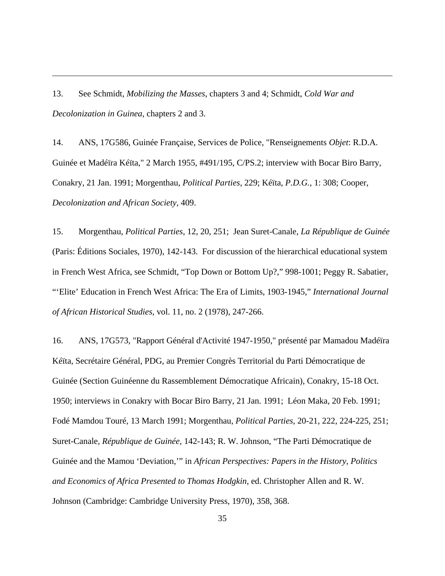13. See Schmidt, *Mobilizing the Masses*, chapters 3 and 4; Schmidt, *Cold War and Decolonization in Guinea*, chapters 2 and 3.

 $\overline{a}$ 

14. ANS, 17G586, Guinée Française, Services de Police, "Renseignements *Objet*: R.D.A. Guinée et Madéïra Kéïta," 2 March 1955, #491/195, C/PS.2; interview with Bocar Biro Barry, Conakry, 21 Jan. 1991; Morgenthau, *Political Parties*, 229; Kéïta, *P.D.G.*, 1: 308; Cooper, *Decolonization and African Society*, 409.

15. Morgenthau, *Political Parties*, 12, 20, 251; Jean Suret-Canale, *La République de Guinée* (Paris: Éditions Sociales, 1970), 142-143. For discussion of the hierarchical educational system in French West Africa, see Schmidt, "Top Down or Bottom Up?," 998-1001; Peggy R. Sabatier, "'Elite' Education in French West Africa: The Era of Limits, 1903-1945," *International Journal of African Historical Studies*, vol. 11, no. 2 (1978), 247-266.

16. ANS, 17G573, "Rapport Général d'Activité 1947-1950," présenté par Mamadou Madéïra Kéïta, Secrétaire Général, PDG, au Premier Congrès Territorial du Parti Démocratique de Guinée (Section Guinéenne du Rassemblement Démocratique Africain), Conakry, 15-18 Oct. 1950; interviews in Conakry with Bocar Biro Barry, 21 Jan. 1991; Léon Maka, 20 Feb. 1991; Fodé Mamdou Touré, 13 March 1991; Morgenthau, *Political Parties*, 20-21, 222, 224-225, 251; Suret-Canale, *République de Guinée*, 142-143; R. W. Johnson, "The Parti Démocratique de Guinée and the Mamou 'Deviation,'" in *African Perspectives: Papers in the History, Politics and Economics of Africa Presented to Thomas Hodgkin*, ed. Christopher Allen and R. W. Johnson (Cambridge: Cambridge University Press, 1970), 358, 368.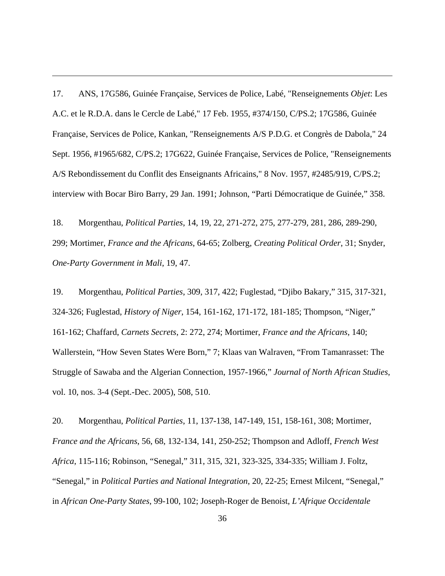17. ANS, 17G586, Guinée Française, Services de Police, Labé, "Renseignements *Objet*: Les A.C. et le R.D.A. dans le Cercle de Labé," 17 Feb. 1955, #374/150, C/PS.2; 17G586, Guinée Française, Services de Police, Kankan, "Renseignements A/S P.D.G. et Congrès de Dabola," 24 Sept. 1956, #1965/682, C/PS.2; 17G622, Guinée Française, Services de Police, "Renseignements A/S Rebondissement du Conflit des Enseignants Africains," 8 Nov. 1957, #2485/919, C/PS.2; interview with Bocar Biro Barry, 29 Jan. 1991; Johnson, "Parti Démocratique de Guinée," 358.

 $\overline{a}$ 

18. Morgenthau, *Political Parties*, 14, 19, 22, 271-272, 275, 277-279, 281, 286, 289-290, 299; Mortimer, *France and the Africans*, 64-65; Zolberg, *Creating Political Order*, 31; Snyder, *One-Party Government in Mali*, 19, 47.

19. Morgenthau, *Political Parties*, 309, 317, 422; Fuglestad, "Djibo Bakary," 315, 317-321, 324-326; Fuglestad, *History of Niger*, 154, 161-162, 171-172, 181-185; Thompson, "Niger," 161-162; Chaffard, *Carnets Secrets*, 2: 272, 274; Mortimer, *France and the Africans*, 140; Wallerstein, "How Seven States Were Born," 7; Klaas van Walraven, "From Tamanrasset: The Struggle of Sawaba and the Algerian Connection, 1957-1966," *Journal of North African Studies*, vol. 10, nos. 3-4 (Sept.-Dec. 2005), 508, 510.

20. Morgenthau, *Political Parties*, 11, 137-138, 147-149, 151, 158-161, 308; Mortimer, *France and the Africans*, 56, 68, 132-134, 141, 250-252; Thompson and Adloff, *French West Africa*, 115-116; Robinson, "Senegal," 311, 315, 321, 323-325, 334-335; William J. Foltz, "Senegal," in *Political Parties and National Integration*, 20, 22-25; Ernest Milcent, "Senegal," in *African One-Party States*, 99-100, 102; Joseph-Roger de Benoist, *L'Afrique Occidentale*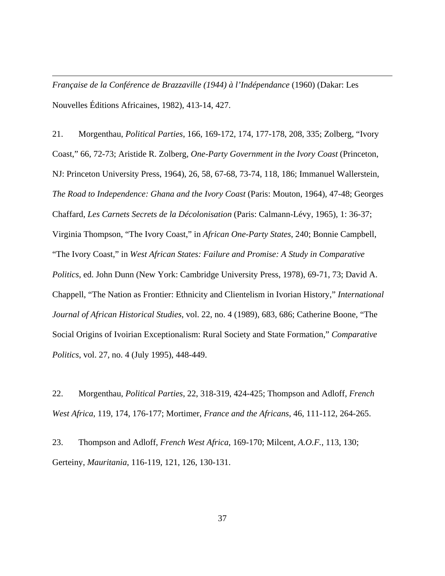*Française de la Conférence de Brazzaville (1944) à l'Indépendance* (1960) (Dakar: Les Nouvelles Éditions Africaines, 1982), 413-14, 427.

 $\overline{a}$ 

21. Morgenthau, *Political Parties*, 166, 169-172, 174, 177-178, 208, 335; Zolberg, "Ivory Coast," 66, 72-73; Aristide R. Zolberg, *One-Party Government in the Ivory Coast* (Princeton, NJ: Princeton University Press, 1964), 26, 58, 67-68, 73-74, 118, 186; Immanuel Wallerstein, *The Road to Independence: Ghana and the Ivory Coast* (Paris: Mouton, 1964), 47-48; Georges Chaffard, *Les Carnets Secrets de la Décolonisation* (Paris: Calmann-Lévy, 1965), 1: 36-37; Virginia Thompson, "The Ivory Coast," in *African One-Party States*, 240; Bonnie Campbell, "The Ivory Coast," in *West African States: Failure and Promise: A Study in Comparative Politics*, ed. John Dunn (New York: Cambridge University Press, 1978), 69-71, 73; David A. Chappell, "The Nation as Frontier: Ethnicity and Clientelism in Ivorian History," *International Journal of African Historical Studies*, vol. 22, no. 4 (1989), 683, 686; Catherine Boone, "The Social Origins of Ivoirian Exceptionalism: Rural Society and State Formation," *Comparative Politics*, vol. 27, no. 4 (July 1995), 448-449.

22. Morgenthau, *Political Parties*, 22, 318-319, 424-425; Thompson and Adloff, *French West Africa*, 119, 174, 176-177; Mortimer, *France and the Africans*, 46, 111-112, 264-265.

23. Thompson and Adloff, *French West Africa*, 169-170; Milcent, *A.O.F.*, 113, 130; Gerteiny, *Mauritania*, 116-119, 121, 126, 130-131.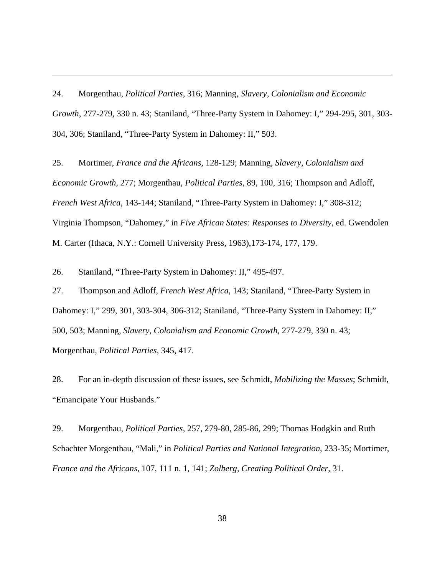24. Morgenthau, *Political Parties*, 316; Manning, *Slavery, Colonialism and Economic Growth*, 277-279, 330 n. 43; Staniland, "Three-Party System in Dahomey: I," 294-295, 301, 303- 304, 306; Staniland, "Three-Party System in Dahomey: II," 503.

25. Mortimer, *France and the Africans*, 128-129; Manning, *Slavery, Colonialism and Economic Growth*, 277; Morgenthau, *Political Parties*, 89, 100, 316; Thompson and Adloff, *French West Africa*, 143-144; Staniland, "Three-Party System in Dahomey: I," 308-312; Virginia Thompson, "Dahomey," in *Five African States: Responses to Diversity*, ed. Gwendolen M. Carter (Ithaca, N.Y.: Cornell University Press, 1963),173-174, 177, 179.

26. Staniland, "Three-Party System in Dahomey: II," 495-497.

 $\overline{a}$ 

27. Thompson and Adloff, *French West Africa*, 143; Staniland, "Three-Party System in Dahomey: I," 299, 301, 303-304, 306-312; Staniland, "Three-Party System in Dahomey: II," 500, 503; Manning, *Slavery, Colonialism and Economic Growth*, 277-279, 330 n. 43; Morgenthau, *Political Parties*, 345, 417.

28. For an in-depth discussion of these issues, see Schmidt, *Mobilizing the Masses*; Schmidt, "Emancipate Your Husbands."

29. Morgenthau, *Political Parties*, 257, 279-80, 285-86, 299; Thomas Hodgkin and Ruth Schachter Morgenthau, "Mali," in *Political Parties and National Integration*, 233-35; Mortimer, *France and the Africans*, 107, 111 n. 1, 141; *Zolberg, Creating Political Order*, 31.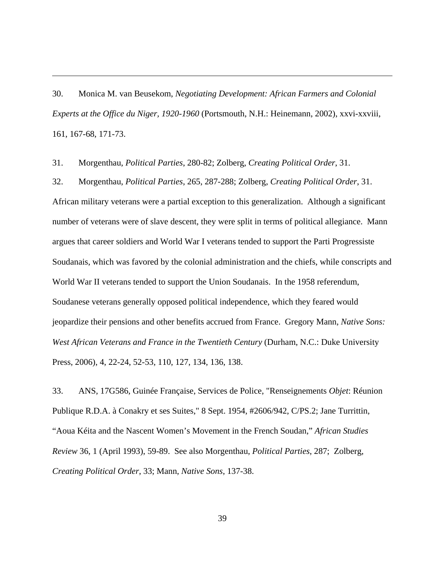30. Monica M. van Beusekom, *Negotiating Development: African Farmers and Colonial Experts at the Office du Niger, 1920-1960* (Portsmouth, N.H.: Heinemann, 2002), xxvi-xxviii, 161, 167-68, 171-73.

31. Morgenthau, *Political Parties*, 280-82; Zolberg, *Creating Political Order*, 31.

 $\overline{a}$ 

32. Morgenthau, *Political Parties*, 265, 287-288; Zolberg, *Creating Political Order*, 31. African military veterans were a partial exception to this generalization. Although a significant number of veterans were of slave descent, they were split in terms of political allegiance. Mann argues that career soldiers and World War I veterans tended to support the Parti Progressiste Soudanais, which was favored by the colonial administration and the chiefs, while conscripts and World War II veterans tended to support the Union Soudanais. In the 1958 referendum, Soudanese veterans generally opposed political independence, which they feared would jeopardize their pensions and other benefits accrued from France. Gregory Mann, *Native Sons: West African Veterans and France in the Twentieth Century* (Durham, N.C.: Duke University Press, 2006), 4, 22-24, 52-53, 110, 127, 134, 136, 138.

33. ANS, 17G586, Guinée Française, Services de Police, "Renseignements *Objet*: Réunion Publique R.D.A. à Conakry et ses Suites," 8 Sept. 1954, #2606/942, C/PS.2; Jane Turrittin, "Aoua Kéita and the Nascent Women's Movement in the French Soudan," *African Studies Review* 36, 1 (April 1993), 59-89. See also Morgenthau, *Political Parties*, 287; Zolberg, *Creating Political Order*, 33; Mann, *Native Sons*, 137-38.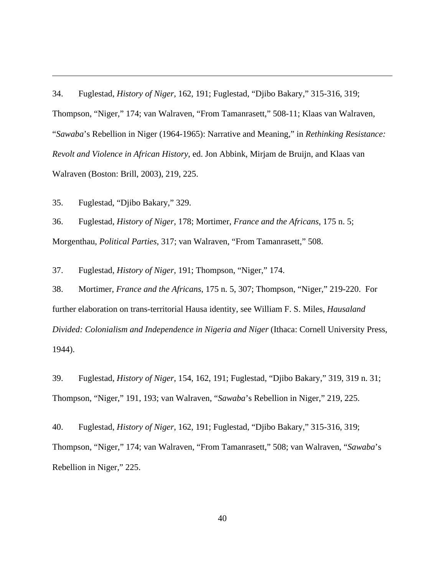34. Fuglestad, *History of Niger*, 162, 191; Fuglestad, "Djibo Bakary," 315-316, 319; Thompson, "Niger," 174; van Walraven, "From Tamanrasett," 508-11; Klaas van Walraven, "*Sawaba*'s Rebellion in Niger (1964-1965): Narrative and Meaning," in *Rethinking Resistance: Revolt and Violence in African History*, ed. Jon Abbink, Mirjam de Bruijn, and Klaas van Walraven (Boston: Brill, 2003), 219, 225.

35. Fuglestad, "Djibo Bakary," 329.

 $\overline{a}$ 

36. Fuglestad, *History of Niger*, 178; Mortimer, *France and the Africans*, 175 n. 5; Morgenthau, *Political Parties*, 317; van Walraven, "From Tamanrasett," 508.

37. Fuglestad, *History of Niger*, 191; Thompson, "Niger," 174.

38. Mortimer, *France and the Africans*, 175 n. 5, 307; Thompson, "Niger," 219-220. For further elaboration on trans-territorial Hausa identity, see William F. S. Miles, *Hausaland Divided: Colonialism and Independence in Nigeria and Niger* (Ithaca: Cornell University Press, 1944).

39. Fuglestad, *History of Niger*, 154, 162, 191; Fuglestad, "Djibo Bakary," 319, 319 n. 31; Thompson, "Niger," 191, 193; van Walraven, "*Sawaba*'s Rebellion in Niger," 219, 225.

40. Fuglestad, *History of Niger*, 162, 191; Fuglestad, "Djibo Bakary," 315-316, 319; Thompson, "Niger," 174; van Walraven, "From Tamanrasett," 508; van Walraven, "*Sawaba*'s Rebellion in Niger," 225.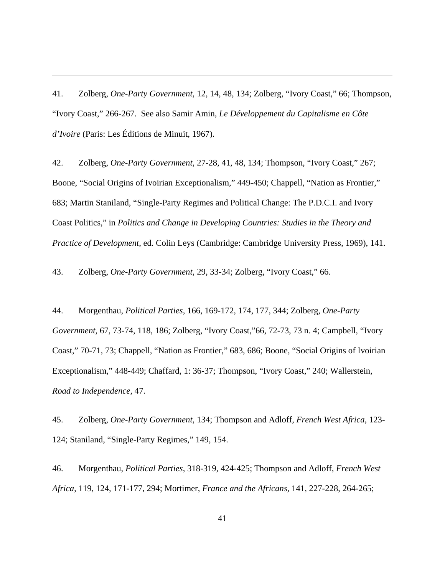41. Zolberg, *One-Party Government*, 12, 14, 48, 134; Zolberg, "Ivory Coast," 66; Thompson, "Ivory Coast," 266-267. See also Samir Amin, *Le Développement du Capitalisme en Côte d'Ivoire* (Paris: Les Éditions de Minuit, 1967).

 $\overline{a}$ 

42. Zolberg, *One-Party Government*, 27-28, 41, 48, 134; Thompson, "Ivory Coast," 267; Boone, "Social Origins of Ivoirian Exceptionalism," 449-450; Chappell, "Nation as Frontier," 683; Martin Staniland, "Single-Party Regimes and Political Change: The P.D.C.I. and Ivory Coast Politics," in *Politics and Change in Developing Countries: Studies in the Theory and Practice of Development*, ed. Colin Leys (Cambridge: Cambridge University Press, 1969), 141.

43. Zolberg, *One-Party Government*, 29, 33-34; Zolberg, "Ivory Coast," 66.

44. Morgenthau, *Political Parties*, 166, 169-172, 174, 177, 344; Zolberg, *One-Party Government*, 67, 73-74, 118, 186; Zolberg, "Ivory Coast,"66, 72-73, 73 n. 4; Campbell, "Ivory Coast," 70-71, 73; Chappell, "Nation as Frontier," 683, 686; Boone, "Social Origins of Ivoirian Exceptionalism," 448-449; Chaffard, 1: 36-37; Thompson, "Ivory Coast," 240; Wallerstein, *Road to Independence*, 47.

45. Zolberg, *One-Party Government*, 134; Thompson and Adloff, *French West Africa*, 123- 124; Staniland, "Single-Party Regimes," 149, 154.

46. Morgenthau, *Political Parties*, 318-319, 424-425; Thompson and Adloff, *French West Africa*, 119, 124, 171-177, 294; Mortimer, *France and the Africans*, 141, 227-228, 264-265;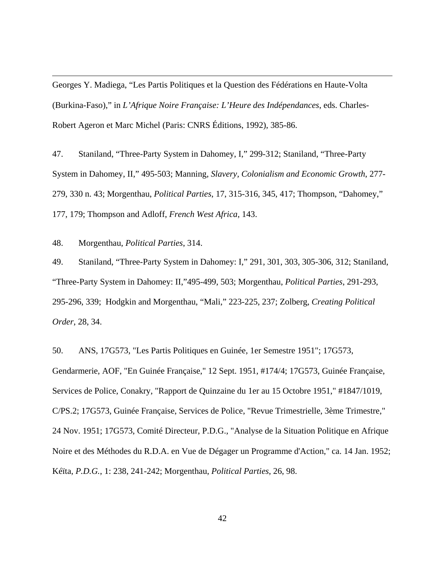Georges Y. Madiega, "Les Partis Politiques et la Question des Fédérations en Haute-Volta (Burkina-Faso)," in *L'Afrique Noire Française: L'Heure des Indépendances*, eds. Charles-Robert Ageron et Marc Michel (Paris: CNRS Éditions, 1992), 385-86.

47. Staniland, "Three-Party System in Dahomey, I," 299-312; Staniland, "Three-Party System in Dahomey, II," 495-503; Manning, *Slavery, Colonialism and Economic Growth*, 277- 279, 330 n. 43; Morgenthau, *Political Parties*, 17, 315-316, 345, 417; Thompson, "Dahomey," 177, 179; Thompson and Adloff, *French West Africa*, 143.

48. Morgenthau, *Political Parties*, 314.

 $\overline{a}$ 

49. Staniland, "Three-Party System in Dahomey: I," 291, 301, 303, 305-306, 312; Staniland, "Three-Party System in Dahomey: II,"495-499, 503; Morgenthau, *Political Parties*, 291-293, 295-296, 339; Hodgkin and Morgenthau, "Mali," 223-225, 237; Zolberg, *Creating Political Order*, 28, 34.

50. ANS, 17G573, "Les Partis Politiques en Guinée, 1er Semestre 1951"; 17G573, Gendarmerie, AOF, "En Guinée Française," 12 Sept. 1951, #174/4; 17G573, Guinée Française, Services de Police, Conakry, "Rapport de Quinzaine du 1er au 15 Octobre 1951," #1847/1019, C/PS.2; 17G573, Guinée Française, Services de Police, "Revue Trimestrielle, 3ème Trimestre," 24 Nov. 1951; 17G573, Comité Directeur, P.D.G., "Analyse de la Situation Politique en Afrique Noire et des Méthodes du R.D.A. en Vue de Dégager un Programme d'Action," ca. 14 Jan. 1952; Kéïta, *P.D.G.*, 1: 238, 241-242; Morgenthau, *Political Parties*, 26, 98.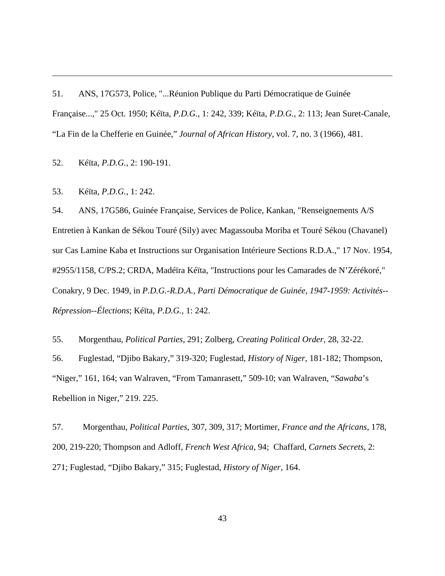51. ANS, 17G573, Police, "...Réunion Publique du Parti Démocratique de Guinée Française...," 25 Oct. 1950; Kéïta, *P.D.G.*, 1: 242, 339; Kéïta, *P.D.G.*, 2: 113; Jean Suret-Canale, "La Fin de la Chefferie en Guinée," *Journal of African History*, vol. 7, no. 3 (1966), 481.

52. Kéïta, *P.D.G.*, 2: 190-191.

53. Kéïta, *P.D.G.*, 1: 242.

 $\overline{a}$ 

54. ANS, 17G586, Guinée Française, Services de Police, Kankan, "Renseignements A/S Entretien à Kankan de Sékou Touré (Sily) avec Magassouba Moriba et Touré Sékou (Chavanel) sur Cas Lamine Kaba et Instructions sur Organisation Intérieure Sections R.D.A.," 17 Nov. 1954, #2955/1158, C/PS.2; CRDA, Madéïra Kéïta, "Instructions pour les Camarades de N'Zérékoré," Conakry, 9 Dec. 1949, in *P.D.G.-R.D.A., Parti Démocratique de Guinée, 1947-1959: Activités-- Répression--Élections*; Kéïta, *P.D.G.*, 1: 242.

55. Morgenthau, *Political Parties*, 291; Zolberg, *Creating Political Order*, 28, 32-22. 56. Fuglestad, "Djibo Bakary," 319-320; Fuglestad, *History of Niger*, 181-182; Thompson, "Niger," 161, 164; van Walraven, "From Tamanrasett," 509-10; van Walraven, "*Sawaba*'s Rebellion in Niger," 219. 225.

57. Morgenthau, *Political Parties*, 307, 309, 317; Mortimer, *France and the Africans*, 178, 200, 219-220; Thompson and Adloff, *French West Africa*, 94; Chaffard, *Carnets Secrets*, 2: 271; Fuglestad, "Djibo Bakary," 315; Fuglestad, *History of Niger*, 164.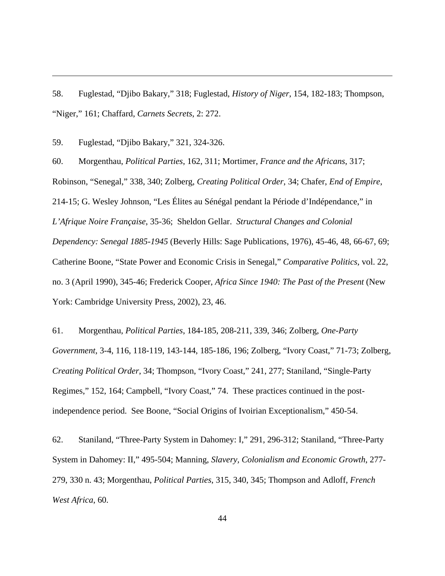58. Fuglestad, "Djibo Bakary," 318; Fuglestad, *History of Niger*, 154, 182-183; Thompson, "Niger," 161; Chaffard, *Carnets Secrets*, 2: 272.

59. Fuglestad, "Djibo Bakary," 321, 324-326.

 $\overline{a}$ 

60. Morgenthau, *Political Parties*, 162, 311; Mortimer, *France and the Africans*, 317; Robinson, "Senegal," 338, 340; Zolberg, *Creating Political Order*, 34; Chafer, *End of Empire*, 214-15; G. Wesley Johnson, "Les Élites au Sénégal pendant la Période d'Indépendance," in *L'Afrique Noire Française*, 35-36; Sheldon Gellar. *Structural Changes and Colonial Dependency: Senegal 1885-1945* (Beverly Hills: Sage Publications, 1976), 45-46, 48, 66-67, 69; Catherine Boone, "State Power and Economic Crisis in Senegal," *Comparative Politics*, vol. 22, no. 3 (April 1990), 345-46; Frederick Cooper, *Africa Since 1940: The Past of the Present* (New York: Cambridge University Press, 2002), 23, 46.

61. Morgenthau, *Political Parties*, 184-185, 208-211, 339, 346; Zolberg, *One-Party Government*, 3-4, 116, 118-119, 143-144, 185-186, 196; Zolberg, "Ivory Coast," 71-73; Zolberg, *Creating Political Order*, 34; Thompson, "Ivory Coast," 241, 277; Staniland, "Single-Party Regimes," 152, 164; Campbell, "Ivory Coast," 74. These practices continued in the postindependence period. See Boone, "Social Origins of Ivoirian Exceptionalism," 450-54.

62. Staniland, "Three-Party System in Dahomey: I," 291, 296-312; Staniland, "Three-Party System in Dahomey: II," 495-504; Manning, *Slavery, Colonialism and Economic Growth*, 277- 279, 330 n. 43; Morgenthau, *Political Parties*, 315, 340, 345; Thompson and Adloff, *French West Africa*, 60.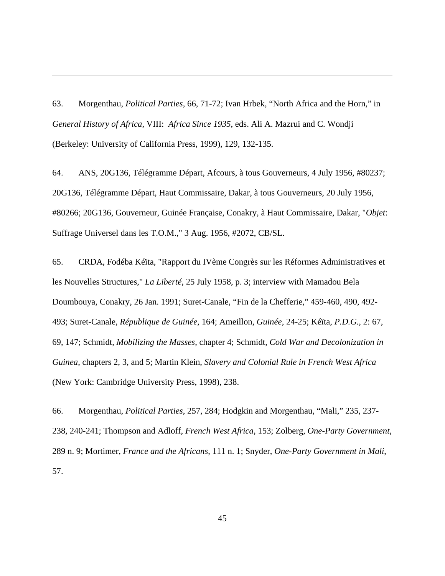63. Morgenthau, *Political Parties*, 66, 71-72; Ivan Hrbek, "North Africa and the Horn," in *General History of Africa*, VIII: *Africa Since 1935*, eds. Ali A. Mazrui and C. Wondji (Berkeley: University of California Press, 1999), 129, 132-135.

 $\overline{a}$ 

64. ANS, 20G136, Télégramme Départ, Afcours, à tous Gouverneurs, 4 July 1956, #80237; 20G136, Télégramme Départ, Haut Commissaire, Dakar, à tous Gouverneurs, 20 July 1956, #80266; 20G136, Gouverneur, Guinée Française, Conakry, à Haut Commissaire, Dakar, "*Objet*: Suffrage Universel dans les T.O.M.," 3 Aug. 1956, #2072, CB/SL.

65. CRDA, Fodéba Kéïta, "Rapport du IVème Congrès sur les Réformes Administratives et les Nouvelles Structures," *La Liberté*, 25 July 1958, p. 3; interview with Mamadou Bela Doumbouya, Conakry, 26 Jan. 1991; Suret-Canale, "Fin de la Chefferie," 459-460, 490, 492- 493; Suret-Canale, *République de Guinée*, 164; Ameillon, *Guinée*, 24-25; Kéïta, *P.D.G.*, 2: 67, 69, 147; Schmidt, *Mobilizing the Masses*, chapter 4; Schmidt, *Cold War and Decolonization in Guinea*, chapters 2, 3, and 5; Martin Klein, *Slavery and Colonial Rule in French West Africa* (New York: Cambridge University Press, 1998), 238.

66. Morgenthau, *Political Parties*, 257, 284; Hodgkin and Morgenthau, "Mali," 235, 237- 238, 240-241; Thompson and Adloff, *French West Africa*, 153; Zolberg, *One-Party Government*, 289 n. 9; Mortimer, *France and the Africans*, 111 n. 1; Snyder, *One-Party Government in Mali*, 57.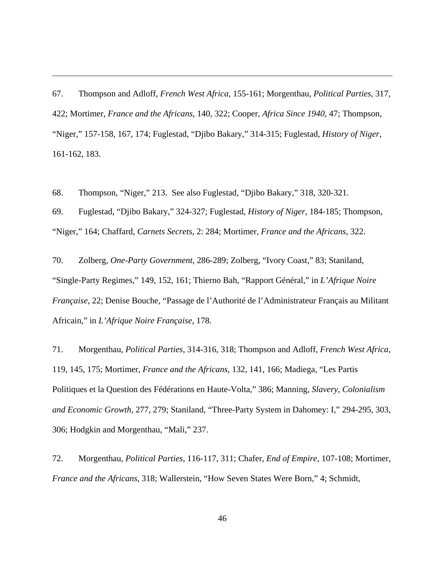67. Thompson and Adloff, *French West Africa*, 155-161; Morgenthau, *Political Parties*, 317, 422; Mortimer, *France and the Africans*, 140, 322; Cooper, *Africa Since 1940*, 47; Thompson, "Niger," 157-158, 167, 174; Fuglestad, "Djibo Bakary," 314-315; Fuglestad, *History of Niger*, 161-162, 183.

68. Thompson, "Niger," 213. See also Fuglestad, "Djibo Bakary," 318, 320-321.

 $\overline{a}$ 

69. Fuglestad, "Djibo Bakary," 324-327; Fuglestad, *History of Niger*, 184-185; Thompson, "Niger," 164; Chaffard, *Carnets Secrets*, 2: 284; Mortimer, *France and the Africans*, 322.

70. Zolberg, *One-Party Government*, 286-289; Zolberg, "Ivory Coast," 83; Staniland, "Single-Party Regimes," 149, 152, 161; Thierno Bah, "Rapport Général," in *L'Afrique Noire Française*, 22; Denise Bouche, "Passage de l'Authorité de l'Administrateur Français au Militant Africain," in *L'Afrique Noire Française*, 178.

71. Morgenthau, *Political Parties*, 314-316, 318; Thompson and Adloff, *French West Africa*, 119, 145, 175; Mortimer, *France and the Africans*, 132, 141, 166; Madiega, "Les Partis Politiques et la Question des Fédérations en Haute-Volta," 386; Manning, *Slavery, Colonialism and Economic Growth*, 277, 279; Staniland, "Three-Party System in Dahomey: I," 294-295, 303, 306; Hodgkin and Morgenthau, "Mali," 237.

72. Morgenthau, *Political Parties*, 116-117, 311; Chafer, *End of Empire*, 107-108; Mortimer, *France and the Africans*, 318; Wallerstein, "How Seven States Were Born," 4; Schmidt,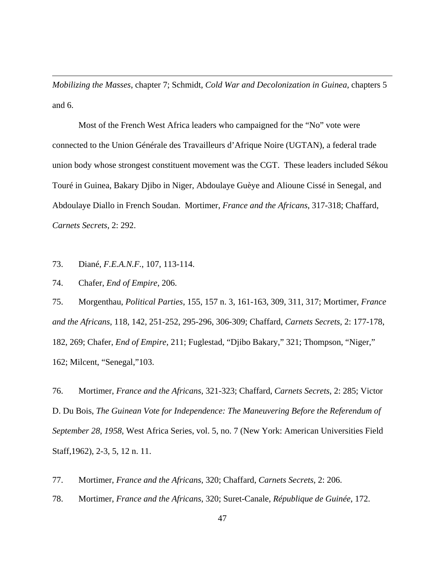*Mobilizing the Masses*, chapter 7; Schmidt, *Cold War and Decolonization in Guinea*, chapters 5 and 6.

 Most of the French West Africa leaders who campaigned for the "No" vote were connected to the Union Générale des Travailleurs d'Afrique Noire (UGTAN), a federal trade union body whose strongest constituent movement was the CGT. These leaders included Sékou Touré in Guinea, Bakary Djibo in Niger, Abdoulaye Guèye and Alioune Cissé in Senegal, and Abdoulaye Diallo in French Soudan. Mortimer, *France and the Africans*, 317-318; Chaffard, *Carnets Secrets*, 2: 292.

73. Diané, *F.E.A.N.F.*, 107, 113-114.

74. Chafer, *End of Empire*, 206.

 $\overline{a}$ 

75. Morgenthau, *Political Parties*, 155, 157 n. 3, 161-163, 309, 311, 317; Mortimer, *France and the Africans*, 118, 142, 251-252, 295-296, 306-309; Chaffard, *Carnets Secrets*, 2: 177-178, 182, 269; Chafer, *End of Empire*, 211; Fuglestad, "Djibo Bakary," 321; Thompson, "Niger," 162; Milcent, "Senegal,"103.

76. Mortimer, *France and the Africans*, 321-323; Chaffard, *Carnets Secrets*, 2: 285; Victor D. Du Bois, *The Guinean Vote for Independence: The Maneuvering Before the Referendum of September 28, 1958*, West Africa Series, vol. 5, no. 7 (New York: American Universities Field Staff,1962), 2-3, 5, 12 n. 11.

77. Mortimer, *France and the Africans*, 320; Chaffard, *Carnets Secrets*, 2: 206.

78. Mortimer, *France and the Africans*, 320; Suret-Canale, *République de Guinée*, 172.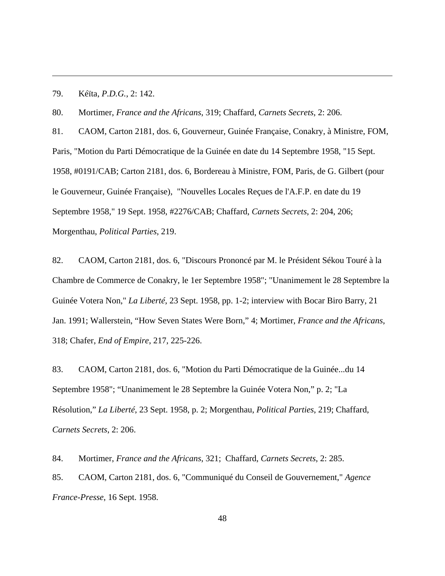79. Kéïta, *P.D.G.*, 2: 142.

 $\overline{a}$ 

80. Mortimer, *France and the Africans*, 319; Chaffard, *Carnets Secrets*, 2: 206.

81. CAOM, Carton 2181, dos. 6, Gouverneur, Guinée Française, Conakry, à Ministre, FOM, Paris, "Motion du Parti Démocratique de la Guinée en date du 14 Septembre 1958, "15 Sept. 1958, #0191/CAB; Carton 2181, dos. 6, Bordereau à Ministre, FOM, Paris, de G. Gilbert (pour le Gouverneur, Guinée Française), "Nouvelles Locales Reçues de l'A.F.P. en date du 19 Septembre 1958," 19 Sept. 1958, #2276/CAB; Chaffard, *Carnets Secrets*, 2: 204, 206; Morgenthau, *Political Parties*, 219.

82. CAOM, Carton 2181, dos. 6, "Discours Prononcé par M. le Président Sékou Touré à la Chambre de Commerce de Conakry, le 1er Septembre 1958"; "Unanimement le 28 Septembre la Guinée Votera Non," *La Liberté*, 23 Sept. 1958, pp. 1-2; interview with Bocar Biro Barry, 21 Jan. 1991; Wallerstein, "How Seven States Were Born," 4; Mortimer, *France and the Africans*, 318; Chafer, *End of Empire*, 217, 225-226.

83. CAOM, Carton 2181, dos. 6, "Motion du Parti Démocratique de la Guinée...du 14 Septembre 1958"; "Unanimement le 28 Septembre la Guinée Votera Non," p. 2; "La Résolution," *La Liberté*, 23 Sept. 1958, p. 2; Morgenthau, *Political Parties*, 219; Chaffard, *Carnets Secrets*, 2: 206.

84. Mortimer, *France and the Africans*, 321; Chaffard, *Carnets Secrets*, 2: 285.

85. CAOM, Carton 2181, dos. 6, "Communiqué du Conseil de Gouvernement," *Agence France-Presse*, 16 Sept. 1958.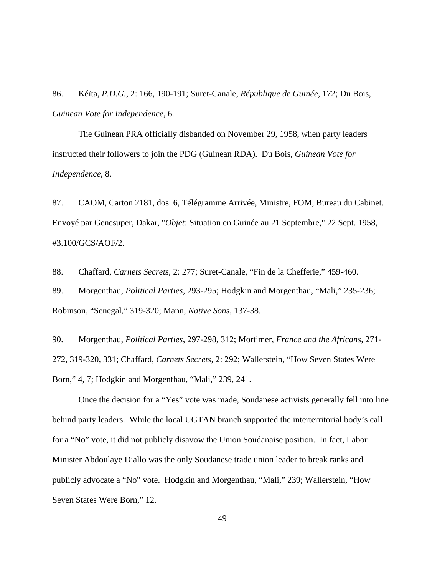86. Kéïta, *P.D.G.*, 2: 166, 190-191; Suret-Canale, *République de Guinée*, 172; Du Bois, *Guinean Vote for Independence*, 6.

 $\overline{a}$ 

 The Guinean PRA officially disbanded on November 29, 1958, when party leaders instructed their followers to join the PDG (Guinean RDA). Du Bois, *Guinean Vote for Independence*, 8.

87. CAOM, Carton 2181, dos. 6, Télégramme Arrivée, Ministre, FOM, Bureau du Cabinet. Envoyé par Genesuper, Dakar, "*Objet*: Situation en Guinée au 21 Septembre," 22 Sept. 1958, #3.100/GCS/AOF/2.

88. Chaffard, *Carnets Secrets*, 2: 277; Suret-Canale, "Fin de la Chefferie," 459-460. 89. Morgenthau, *Political Parties*, 293-295; Hodgkin and Morgenthau, "Mali," 235-236; Robinson, "Senegal," 319-320; Mann, *Native Sons*, 137-38.

90. Morgenthau, *Political Parties*, 297-298, 312; Mortimer, *France and the Africans*, 271- 272, 319-320, 331; Chaffard, *Carnets Secrets*, 2: 292; Wallerstein, "How Seven States Were Born," 4, 7; Hodgkin and Morgenthau, "Mali," 239, 241.

 Once the decision for a "Yes" vote was made, Soudanese activists generally fell into line behind party leaders. While the local UGTAN branch supported the interterritorial body's call for a "No" vote, it did not publicly disavow the Union Soudanaise position. In fact, Labor Minister Abdoulaye Diallo was the only Soudanese trade union leader to break ranks and publicly advocate a "No" vote. Hodgkin and Morgenthau, "Mali," 239; Wallerstein, "How Seven States Were Born," 12.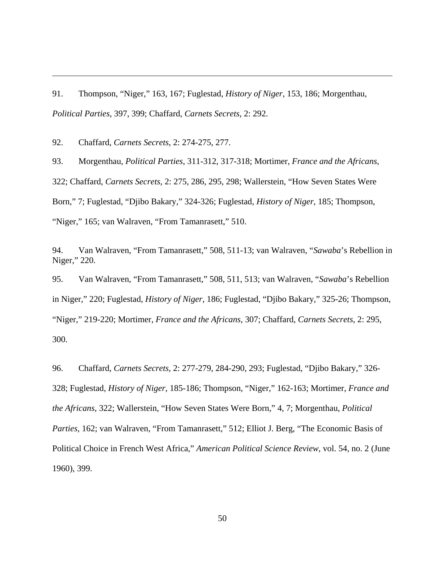91. Thompson, "Niger," 163, 167; Fuglestad, *History of Niger*, 153, 186; Morgenthau, *Political Parties*, 397, 399; Chaffard, *Carnets Secrets*, 2: 292.

92. Chaffard, *Carnets Secrets*, 2: 274-275, 277.

 $\overline{a}$ 

93. Morgenthau, *Political Parties*, 311-312, 317-318; Mortimer, *France and the Africans*, 322; Chaffard, *Carnets Secrets*, 2: 275, 286, 295, 298; Wallerstein, "How Seven States Were Born," 7; Fuglestad, "Djibo Bakary," 324-326; Fuglestad, *History of Niger*, 185; Thompson, "Niger," 165; van Walraven, "From Tamanrasett," 510.

94. Van Walraven, "From Tamanrasett," 508, 511-13; van Walraven, "*Sawaba*'s Rebellion in Niger," 220.

95. Van Walraven, "From Tamanrasett," 508, 511, 513; van Walraven, "*Sawaba*'s Rebellion in Niger," 220; Fuglestad, *History of Niger*, 186; Fuglestad, "Djibo Bakary," 325-26; Thompson, "Niger," 219-220; Mortimer, *France and the Africans*, 307; Chaffard, *Carnets Secrets*, 2: 295, 300.

96. Chaffard, *Carnets Secrets*, 2: 277-279, 284-290, 293; Fuglestad, "Djibo Bakary," 326- 328; Fuglestad, *History of Niger*, 185-186; Thompson, "Niger," 162-163; Mortimer, *France and the Africans*, 322; Wallerstein, "How Seven States Were Born," 4, 7; Morgenthau, *Political Parties*, 162; van Walraven, "From Tamanrasett," 512; Elliot J. Berg, "The Economic Basis of Political Choice in French West Africa," *American Political Science Review*, vol. 54, no. 2 (June 1960), 399.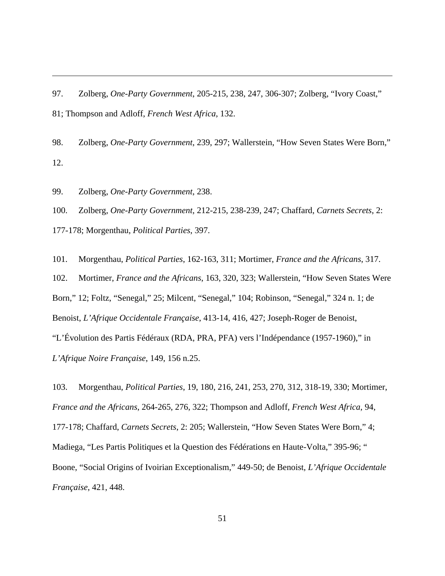97. Zolberg, *One-Party Government*, 205-215, 238, 247, 306-307; Zolberg, "Ivory Coast," 81; Thompson and Adloff, *French West Africa*, 132.

98. Zolberg, *One-Party Government*, 239, 297; Wallerstein, "How Seven States Were Born," 12.

99. Zolberg, *One-Party Government*, 238.

 $\overline{a}$ 

100. Zolberg, *One-Party Government*, 212-215, 238-239, 247; Chaffard, *Carnets Secrets*, 2: 177-178; Morgenthau, *Political Parties*, 397.

101. Morgenthau, *Political Parties*, 162-163, 311; Mortimer, *France and the Africans*, 317. 102. Mortimer, *France and the Africans*, 163, 320, 323; Wallerstein, "How Seven States Were Born," 12; Foltz, "Senegal," 25; Milcent, "Senegal," 104; Robinson, "Senegal," 324 n. 1; de Benoist, *L'Afrique Occidentale Française*, 413-14, 416, 427; Joseph-Roger de Benoist, "L'Évolution des Partis Fédéraux (RDA, PRA, PFA) vers l'Indépendance (1957-1960)," in *L'Afrique Noire Française*, 149, 156 n.25.

103. Morgenthau, *Political Parties*, 19, 180, 216, 241, 253, 270, 312, 318-19, 330; Mortimer, *France and the Africans*, 264-265, 276, 322; Thompson and Adloff, *French West Africa*, 94, 177-178; Chaffard, *Carnets Secrets*, 2: 205; Wallerstein, "How Seven States Were Born," 4; Madiega, "Les Partis Politiques et la Question des Fédérations en Haute-Volta," 395-96; " Boone, "Social Origins of Ivoirian Exceptionalism," 449-50; de Benoist, *L'Afrique Occidentale Française*, 421, 448.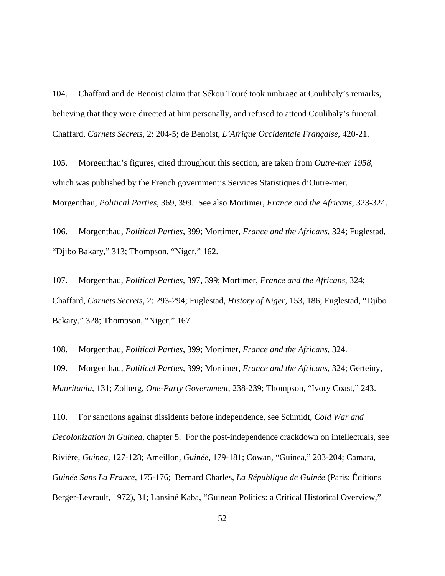104. Chaffard and de Benoist claim that Sékou Touré took umbrage at Coulibaly's remarks, believing that they were directed at him personally, and refused to attend Coulibaly's funeral. Chaffard, *Carnets Secrets*, 2: 204-5; de Benoist, *L'Afrique Occidentale Française*, 420-21.

 $\overline{a}$ 

105. Morgenthau's figures, cited throughout this section, are taken from *Outre-mer 1958*, which was published by the French government's Services Statistiques d'Outre-mer. Morgenthau, *Political Parties*, 369, 399. See also Mortimer, *France and the Africans*, 323-324.

106. Morgenthau, *Political Parties*, 399; Mortimer, *France and the Africans*, 324; Fuglestad, "Djibo Bakary," 313; Thompson, "Niger," 162.

107. Morgenthau, *Political Parties*, 397, 399; Mortimer, *France and the Africans*, 324; Chaffard, *Carnets Secrets*, 2: 293-294; Fuglestad, *History of Niger*, 153, 186; Fuglestad, "Djibo Bakary," 328; Thompson, "Niger," 167.

108. Morgenthau, *Political Parties*, 399; Mortimer, *France and the Africans*, 324. 109. Morgenthau, *Political Parties*, 399; Mortimer, *France and the Africans*, 324; Gerteiny, *Mauritania*, 131; Zolberg, *One-Party Government*, 238-239; Thompson, "Ivory Coast," 243.

110. For sanctions against dissidents before independence, see Schmidt, *Cold War and Decolonization in Guinea*, chapter 5. For the post-independence crackdown on intellectuals, see Rivière, *Guinea*, 127-128; Ameillon, *Guinée*, 179-181; Cowan, "Guinea," 203-204; Camara, *Guinée Sans La France*, 175-176; Bernard Charles, *La République de Guinée* (Paris: Éditions Berger-Levrault, 1972), 31; Lansiné Kaba, "Guinean Politics: a Critical Historical Overview,"